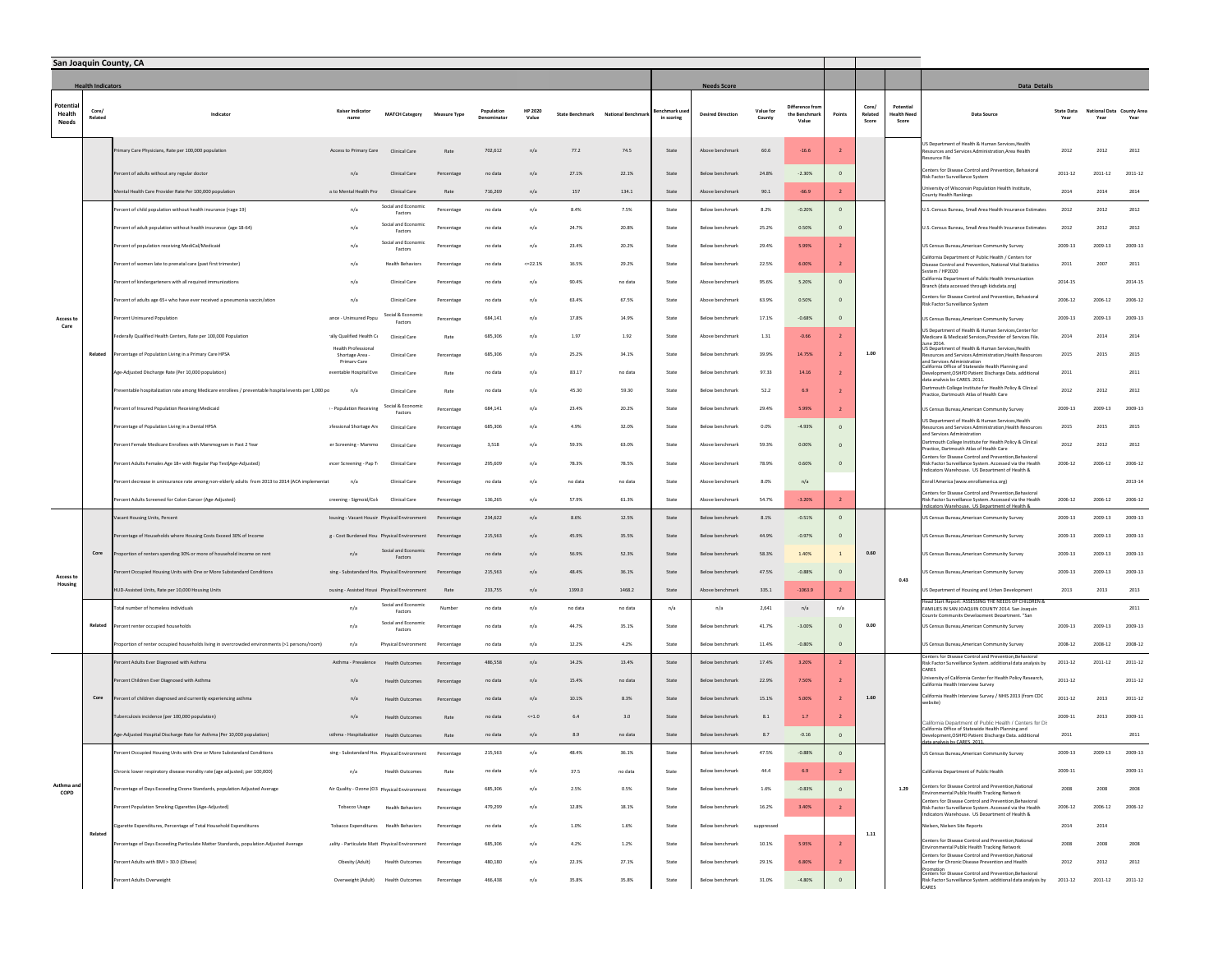| San Joaquin County, CA             |                          |                                                                                                                                                                                                                                                                                                                                                                                                                                                                       |                                                               |                                    |                     |                       |                         |                 |                  |                            |                          |                     |                                         |                |                  |                                  |                                                                                                                                                                         |                           |                                  |         |
|------------------------------------|--------------------------|-----------------------------------------------------------------------------------------------------------------------------------------------------------------------------------------------------------------------------------------------------------------------------------------------------------------------------------------------------------------------------------------------------------------------------------------------------------------------|---------------------------------------------------------------|------------------------------------|---------------------|-----------------------|-------------------------|-----------------|------------------|----------------------------|--------------------------|---------------------|-----------------------------------------|----------------|------------------|----------------------------------|-------------------------------------------------------------------------------------------------------------------------------------------------------------------------|---------------------------|----------------------------------|---------|
|                                    | <b>Health Indicators</b> |                                                                                                                                                                                                                                                                                                                                                                                                                                                                       |                                                               |                                    |                     |                       |                         |                 |                  |                            | <b>Needs Score</b>       |                     |                                         |                |                  |                                  | <b>Data Details</b>                                                                                                                                                     |                           |                                  |         |
| Potentia<br>Health<br><b>Needs</b> | Core/<br>Related         | Indicator                                                                                                                                                                                                                                                                                                                                                                                                                                                             | Kaiser Indicator<br>name                                      | <b>MATCH Category</b>              | <b>Measure Type</b> | Population<br>ninator | <b>HP 2020</b><br>Value | State Benchmark | National Benchma | enchmark use<br>in scoring | <b>Desired Direction</b> | Value for<br>County | Difference from<br>the Benchma<br>Value | <b>Points</b>  | Core/<br>Related | Potentia<br>lealth Need<br>Score | Data Source                                                                                                                                                             | <b>State Data</b><br>Year | National Data County Are<br>Year | Year    |
|                                    |                          | rimary Care Physicians, Rate per 100,000 population                                                                                                                                                                                                                                                                                                                                                                                                                   | Access to Primary Care                                        | Clinical Care                      | Rate                | 702.612               | n/a                     | 77.2            | 74.5             | State                      | Above benchmark          | 60.6                | $-16.6$                                 |                |                  |                                  | JS Department of Health & Human Services. Health<br>ources and Services Administration, Area Health<br>ource File                                                       | 2012                      | 2012                             | 2012    |
|                                    |                          | Percent of adults without any regular doctor                                                                                                                                                                                                                                                                                                                                                                                                                          | n/a                                                           | Clinical Care                      | Percentage          | no data               | n/a                     | 27.1%           | 22.1%            | State                      | Below benchmark          | 24.8%               | $-2.30%$                                | $\Omega$       |                  |                                  | enters for Disease Control and Prevention, Behavioral<br>isk Factor Surveillance System                                                                                 | 2011-12                   | $2011 - 12$                      | 2011-12 |
|                                    |                          | lental Health Care Provider Rate Per 100,000 population                                                                                                                                                                                                                                                                                                                                                                                                               | s to Mental Health Pro                                        | Clinical Care                      | Rate                | 716,269               | n/a                     | 157             | 134.1            | State                      | Above benchmark          | 90.1                | $-66.9$                                 | $\overline{2}$ |                  |                                  | iversity of Wisconsin Population Health Institute,<br>unty Health Rankings                                                                                              | 2014                      | 2014                             | 2014    |
|                                    |                          | ercent of child population without health insurance ( <age 19)<="" td=""><td>n/a</td><td>Social and Economi<br/>Factors</td><td>Percentage</td><td>no data</td><td>n/a</td><td>8.4%</td><td>7.5%</td><td>State</td><td>Below benchmark</td><td>8.2%</td><td><math>-0.20%</math></td><td><math display="inline">\mathbf 0</math></td><td></td><td></td><td>U.S. Census Bureau, Small Area Health Insurance Estimates</td><td>2012</td><td>2012</td><td>2012</td></age> | n/a                                                           | Social and Economi<br>Factors      | Percentage          | no data               | n/a                     | 8.4%            | 7.5%             | State                      | Below benchmark          | 8.2%                | $-0.20%$                                | $\mathbf 0$    |                  |                                  | U.S. Census Bureau, Small Area Health Insurance Estimates                                                                                                               | 2012                      | 2012                             | 2012    |
|                                    |                          | ercent of adult population without health insurance (age 18-64)                                                                                                                                                                                                                                                                                                                                                                                                       | n/a                                                           | Social and Economic<br>Factors     | Percentag           | no data               | n/a                     | 24.7%           | 20.8%            | State                      | Below benchmark          | 25.2%               | 0.50%                                   | $\mathbf 0$    |                  |                                  | J.S. Census Bureau, Small Area Health Insurance Estimates                                                                                                               | 2012                      | 2012                             | 2012    |
|                                    |                          | Percent of population receiving MediCal/Medicaid                                                                                                                                                                                                                                                                                                                                                                                                                      | n/a                                                           | Social and Economic<br>Factors     | Percentage          | no data               | n/a                     | 23.4%           | 20.2%            | State                      | Below benchmark          | 29.4%               | 5.99%                                   |                |                  |                                  | US Census Bureau, American Community Survey                                                                                                                             | 2009-13                   | 2009-13                          | 2009-13 |
|                                    |                          | Percent of women late to prenatal care (past first trimester)                                                                                                                                                                                                                                                                                                                                                                                                         | n/a                                                           | <b>Health Behaviors</b>            | Percentage          | no data               | $<=$ 22.1%              | 16.5%           | 29.2%            | State                      | Below benchmark          | 22.5%               | 6.00%                                   |                |                  |                                  | alifornia Department of Public Health / Centers for<br>Disease Control and Prevention, National Vital Statistics<br>tem / HP2020                                        | 2011                      | 2007                             | 2011    |
|                                    |                          | Percent of kindergarteners with all required immunizations                                                                                                                                                                                                                                                                                                                                                                                                            | n/a                                                           | Clinical Care                      | Percentage          | no data               | n/a                     | 90.4%           | no data          | State                      | Above benchmark          | 95.6%               | 5.20%                                   |                |                  |                                  | alifornia Denartment of Public Health Immunization<br>Branch (data accessed through kidsdata.org)                                                                       | 2014-15                   |                                  | 2014-15 |
|                                    |                          | Percent of adults age 65+ who have ever received a pneumonia vaccin/ation                                                                                                                                                                                                                                                                                                                                                                                             | n/a                                                           | Clinical Care                      | Percentag           | no data               | n/a                     | 63.4%           | 67.5%            | State                      | Above benchmark          | 63.9%               | 0.50%                                   |                |                  |                                  | Centers for Disease Control and Prevention, Behavioral<br>Risk Factor Surveillance System                                                                               | 2006-12                   | 2006-12                          | 2006-12 |
| Access to<br>Care                  |                          | Percent Uninsured Population                                                                                                                                                                                                                                                                                                                                                                                                                                          | ance - Uninsured Popu                                         | Social & Economic<br>Factors       | Percentage          | 684.141               | n/a                     | 17.8%           | 14.9%            | State                      | Below benchmark          | 17.1%               | $-0.68%$                                | $\sqrt{2}$     |                  |                                  | US Census Bureau, American Community Survey                                                                                                                             | 2009-13                   | 2009-13                          | 2009-13 |
|                                    |                          | Federally Qualified Health Centers, Rate per 100,000 Population                                                                                                                                                                                                                                                                                                                                                                                                       | ally Qualified Health Cr                                      | Clinical Care                      | Rate                | 685,306               | n/a                     | 1.97            | 1.92             | State                      | Above benchmark          | 1.31                | $-0.66$                                 |                |                  |                                  | US Department of Health & Human Services.Center for<br>Medicare & Medicaid Services.Provider of Services File.<br>1e 2014                                               | 2014                      | 2014                             | 2014    |
|                                    | Related                  | ercentage of Population Living in a Primary Care HPSA                                                                                                                                                                                                                                                                                                                                                                                                                 | <b>Health Professional</b><br>Shortage Area -<br>Primary Care | Clinical Care                      | Percentage          | 685,306               | n/a                     | 25.2%           | 34.1%            | State                      | Below benchmark          | 39.9%               | 14.75%                                  |                | 1.00             |                                  | US Department of Health & Human Services, Health<br>sources and Services Administration, Health Resources                                                               | 2015                      | 2015                             | 2015    |
|                                    |                          | Age-Adjusted Discharge Rate (Per 10,000 population)                                                                                                                                                                                                                                                                                                                                                                                                                   | eventable Hospital Eve                                        | Clinical Care                      | Rate                | no data               | n/a                     | 83.17           | no data          | State                      | Below benchmark          | 97.33               | 14.16                                   |                |                  |                                  | and Services Administration<br>alifornia Office of Statewide Health Planning and<br>Development, OSHPD Patient Discharge Data. additional<br>ata analysis hy CARES 2011 | 2011                      |                                  | 2011    |
|                                    |                          | ventable hospitalization rate among Medicare enrollees / preventable hospital events per 1,000 pc                                                                                                                                                                                                                                                                                                                                                                     | n/a                                                           | Clinical Care                      | Rate                | no data               | n/a                     | 45.30           | 59.30            | State                      | Below benchmark          | 52.2                | 6.9                                     |                |                  |                                  | Jartmouth College Institute for Health Policy & Clinical<br>Practice, Dartmouth Atlas of Health Care                                                                    | 2012                      | 2012                             | 2012    |
|                                    |                          | Percent of Insured Population Receiving Medicaid                                                                                                                                                                                                                                                                                                                                                                                                                      | - Population Receiving                                        | Social & Economic<br>Factors       | Percentage          | 684,141               | n/a                     | 23.4%           | 20.2%            | State                      | Below benchmark          | 29.4%               | 5.99%                                   |                |                  |                                  | US Census Bureau, American Community Survey                                                                                                                             | 2009-13                   | 2009-13                          | 2009-13 |
|                                    |                          | Percentage of Population Living in a Dental HPSA                                                                                                                                                                                                                                                                                                                                                                                                                      | ofessional Shortage Are                                       | Clinical Care                      | Percentage          | 685,306               | n/a                     | 4.9%            | 32.0%            | State                      | Below benchmark          | 0.0%                | $-4.93%$                                |                |                  |                                  | US Department of Health & Human Services. Health<br>sources and Services Administration, Health Resources<br>nd Services Administratio                                  | 2015                      | 2015                             | 2015    |
|                                    |                          | Percent Female Medicare Enrollees with Mammogram in Past 2 Year                                                                                                                                                                                                                                                                                                                                                                                                       | er Screening - Mammo                                          | Clinical Care                      | Percentage          | 3,518                 | n/a                     | 59.3%           | 63.0%            | State                      | Above benchmark          | 59.3%               | 0.00%                                   |                |                  |                                  | artmouth College Institute for Health Policy & Clinical<br>Practice, Dartmouth Atlas of Health Care                                                                     | 2012                      | 2012                             | 2012    |
|                                    |                          | Percent Adults Females Age 18+ with Regular Pap Test(Age-Adjusted)                                                                                                                                                                                                                                                                                                                                                                                                    | ncer Screening - Pap T-                                       | Clinical Care                      | Percentag           | 295,609               | n/a                     | 78.3%           | 78.5%            | State                      | Above benchmark          | 78.9%               | 0.60%                                   | $\Omega$       |                  |                                  | nters for Disease Control and Prevention, Behavioral<br>Risk Factor Surveillance System. Accessed via the Health<br>ndicators Warehouse. US Department of Health &      | 2006-12                   | 2006-12                          | 2006-12 |
|                                    |                          | Percent decrease in uninsurance rate among non-elderly adults from 2013 to 2014 (ACA implementat                                                                                                                                                                                                                                                                                                                                                                      | n/a                                                           | Clinical Care                      | Percentage          | no data               | n/a                     | no data         | no data          | State                      | Above benchmark          | 8.0%                | n/a                                     |                |                  |                                  | inroll America (www.enrollamerica.org)                                                                                                                                  |                           |                                  | 2013-14 |
|                                    |                          | ercent Adults Screened for Colon Cancer (Age-Adjusted)                                                                                                                                                                                                                                                                                                                                                                                                                | creening - Sigmoid/Col                                        | Clinical Care                      | Percentage          | 136,265               | n/a                     | 57.9%           | 61.3%            | State                      | Above benchmark          | 54.7%               | $-3.20%$                                | $\overline{2}$ |                  |                                  | Centers for Disease Control and Prevention.Behavioral<br>lisk Factor Surveillance System. Accessed via the Health                                                       | 2006-12                   | 2006-12                          | 2006-12 |
|                                    |                          | acant Housing Units, Percent                                                                                                                                                                                                                                                                                                                                                                                                                                          | lousing - Vacant Housir Physical Environment                  |                                    | Percentage          | 234,622               | n/a                     | 8.6%            | 12.5%            | State                      | Below benchmark          | 8.1%                | $-0.51%$                                | $\mathbf 0$    |                  |                                  | JS Census Bureau, American Community Survey                                                                                                                             | 2009-13                   | 2009-13                          | 2009-13 |
|                                    |                          | ercentage of Households where Housing Costs Exceed 30% of Income                                                                                                                                                                                                                                                                                                                                                                                                      | g - Cost Burdened Hou Physical Environment                    |                                    | Percentag           | 215.563               | n/a                     | 45.9%           | 35.5%            | State                      | Below benchmark          | 44.9%               | $-0.97%$                                | $\Omega$       |                  |                                  | JS Census Bureau, American Community Survey                                                                                                                             | 2009-13                   | 2009-13                          | 2009-13 |
|                                    | Core                     | Proportion of renters spending 30% or more of household income on rent                                                                                                                                                                                                                                                                                                                                                                                                | n/a                                                           | Social and Economic<br>Factors     | Percentage          | no data               | n/a                     | 56.9%           | 52.3%            | State                      | Below benchmark          | 58.3%               | 1.40%                                   |                | 0.60             |                                  | US Census Bureau, American Community Survey                                                                                                                             | 2009-13                   | 2009-13                          | 2009-13 |
| <b>Access to</b>                   |                          | Percent Occupied Housing Units with One or More Substandard Conditions                                                                                                                                                                                                                                                                                                                                                                                                | sing - Substandard Hot Physical Environment                   |                                    | Percentage          | 215,563               | n/a                     | 48.4%           | 36.1%            | State                      | Below benchmark          | 47.5%               | $-0.88%$                                | $\Omega$       |                  | 0.43                             | JS Census Bureau, American Community Survey                                                                                                                             | 2009-13                   | 2009-13                          | 2009-13 |
| Housing                            |                          | HUD-Assisted Units, Rate per 10,000 Housing Units                                                                                                                                                                                                                                                                                                                                                                                                                     | ousing - Assisted Housi Physical Environment                  |                                    | Rate                | 233,755               | n/a                     | 1399.0          | 1468.2           | State                      | Above benchmark          | 335.1               | $-1063.9$                               |                |                  |                                  | US Department of Housing and Urban Development                                                                                                                          | 2013                      | 2013                             | 2013    |
|                                    |                          | Total number of homeless individuals                                                                                                                                                                                                                                                                                                                                                                                                                                  | n/a                                                           | Social and Economic<br>Factors     | Numbe               | no data               | n/a                     | no data         | no data          | n/a                        | n/a                      | 2.641               | n/a                                     | n/a            |                  |                                  | ead Start Report: ASSESSING THE NEEDS OF CHILDREN 8<br>AMILIES IN SAN JOAQUIN COUNTY 2014. San Joaquir<br>inty Community Development Department "San                    |                           |                                  | 2011    |
|                                    | Related                  | Percent renter occupied households                                                                                                                                                                                                                                                                                                                                                                                                                                    | n/a                                                           | Social and Economic<br>Factors     | Percentage          | no data               | n/a                     | 44.7%           | 35.1%            | State                      | Below benchmark          | 41.7%               | $-3.00%$                                | $\Omega$       | 0.00             |                                  | US Census Bureau, American Community Survey                                                                                                                             | 2009-13                   | 2009-13                          | 2009-13 |
|                                    |                          | roportion of renter occupied households living in overcrowded environments (>1 persons/room)                                                                                                                                                                                                                                                                                                                                                                          | n/a                                                           | Physical Environment               | Percentage          | no data               | n/a                     | 12.2%           | 4.2%             | State                      | Below benchmark          | 11.4%               | $-0.80%$                                | $\mathbf 0$    |                  |                                  | JS Census Bureau, American Community Survey                                                                                                                             | 2008-12                   | 2008-12                          | 2008-12 |
|                                    |                          | rcent Adults Ever Diagnosed with Asthma                                                                                                                                                                                                                                                                                                                                                                                                                               | Asthma - Prevalence                                           | <b>Health Outcomes</b>             | Percentage          | 486,558               | n/a                     | 14.2%           | 13.4%            | State                      | Below benchmark          | 17.4%               | 3.20%                                   |                |                  |                                  | Centers for Disease Control and Prevention, Behavioral<br>tisk Factor Surveillance System. additional data analysis by                                                  | 2011-12                   | $2011 - 12$                      | 2011-12 |
|                                    |                          | cent Children Ever Diagnosed with Asthma                                                                                                                                                                                                                                                                                                                                                                                                                              | n/a                                                           | <b>Health Outcomes</b>             | Percentag           | no data               | n/a                     | 15.4%           | no data          | State                      | Below benchmark          | 22.9%               | 7.50%                                   |                |                  |                                  | niversity of California Center for Health Policy Research,<br>California Health Interview Survey                                                                        | 2011-12                   |                                  | 2011-12 |
|                                    | Core                     | ercent of children diagnosed and currently experiencing asthma                                                                                                                                                                                                                                                                                                                                                                                                        | n/a                                                           | <b>Health Outcomes</b>             | Percentag           | no data               | n/a                     | 10.1%           | 8.3%             | State                      | Below benchmark          | 15.1%               | 5.00%                                   |                | $1.60\,$         |                                  | alifornia Health Interview Survey / NHIS 2013 (from CDC<br>vebsite)                                                                                                     | $2011 - 12$               | 2013                             | 2011-12 |
|                                    |                          | uberculosis incidence (per 100,000 population)                                                                                                                                                                                                                                                                                                                                                                                                                        | n/a                                                           | <b>Health Outcomes</b>             | Rate                | no data               | $<=1.0$                 | 6.4             | 3.0              | State                      | Below benchmark          | 8.1                 | $1.7$                                   |                |                  |                                  | lifornia Department of Public Health / Centers for Dis                                                                                                                  | 2009-11                   | 2013                             | 2009-11 |
|                                    |                          | Age-Adjusted Hospital Discharge Rate for Asthma (Per 10,000 population)                                                                                                                                                                                                                                                                                                                                                                                               | isthma - Hospitalizatior Health Outcomes                      |                                    | Rate                | no data               | n/a                     | 8.9             | no data          | State                      | Below benchmark          | 8.7                 | $-0.16$                                 | $\mathbf 0$    |                  |                                  | California Office of Statewide Health Planning and<br>evelopment, OSHPD Patient Discharge Data. additional                                                              | 2011                      |                                  | 2011    |
|                                    |                          | rcent Occupied Housing Units with One or More Substandard Conditions                                                                                                                                                                                                                                                                                                                                                                                                  | sing - Substandard Hot Physical Environment                   |                                    | Percentage          | 215,563               | n/a                     | 48.4%           | 36.1%            | State                      | <b>Below benchmark</b>   | 47.5%               | $-0.88%$                                | $\circ$        |                  |                                  | JS Census Bureau, American Community Survey                                                                                                                             | 2009-13                   | $2009 - 13$                      | 2009-13 |
|                                    |                          | Chronic lower respiratory disease morality rate (age adjusted; per 100,000)                                                                                                                                                                                                                                                                                                                                                                                           | n/a                                                           | <b>Health Outcomes</b>             | Rate                | no data               | n/a                     | 37.5            | no data          | State                      | Below benchmark          | 44.4                | 6.9                                     |                |                  |                                  | California Department of Public Health                                                                                                                                  | 2009-11                   |                                  | 2009-11 |
| Asthma an<br>COPD                  |                          | Percentage of Days Exceeding Ozone Standards, population Adjusted Average                                                                                                                                                                                                                                                                                                                                                                                             | Air Quality - Ozone (O3 Physical Environment Percentage       |                                    |                     | 685,306               | n/a                     | 2.5%            | 0.5%             | State                      | Below benchmark          | 1.6%                | $-0.83%$                                | $\mathbb O$    |                  | 1.29                             | Centers for Disease Control and Prevention, National<br>vironmental Public Health Tracking Network                                                                      | 2008                      | 2008                             | 2008    |
|                                    |                          | Percent Population Smoking Cigarettes (Age-Adjusted)                                                                                                                                                                                                                                                                                                                                                                                                                  | Tobacco Usage                                                 | <b>Health Behaviors</b>            | Percentage          | 479,299               | n/a                     | 12.8%           | 18.1%            | State                      | Below benchmark          | 16.2%               | 3.40%                                   | $\overline{2}$ |                  |                                  | Centers for Disease Control and Prevention, Behavioral<br>Risk Factor Surveillance System, Accessed via the Health<br>dicators Warehouse. US Department of Health &     | 2006-12                   | 2006-12                          | 2006-12 |
|                                    | Related                  | igarette Expenditures, Percentage of Total Household Expenditures                                                                                                                                                                                                                                                                                                                                                                                                     | Tobacco Expenditures Health Behaviors                         |                                    | Percentage          | no data               | n/a                     | 1.0%            | 1.6%             | State                      | Below benchmark          | suppressed          |                                         |                | 1.11             |                                  | elsen, Nielsen Site Reports                                                                                                                                             | 2014                      | 2014                             |         |
|                                    |                          | ercentage of Days Exceeding Particulate Matter Standards, population Adjusted Average                                                                                                                                                                                                                                                                                                                                                                                 | Jality - Particulate Matt Physical Environment                |                                    | Percentage          | 685,306               | n/a                     | 4.2%            | 1.2%             | State                      | <b>Below benchmark</b>   | 10.1%               | 5.95%                                   | $\overline{2}$ |                  |                                  | Centers for Disease Control and Prevention, National<br>wironmental Public Health Tracking Network<br>enters for Disease Control and Prevention National                | 2008                      | 2008                             | 2008    |
|                                    |                          | Percent Adults with BMI > 30.0 (Obese)                                                                                                                                                                                                                                                                                                                                                                                                                                | Obesity (Adult)                                               | <b>Health Outcomes</b>             | Percentage          | 480,180               | n/a                     | 22.3%           | 27.1%            | State                      | Below benchmark          | 29.1%               | 6.80%                                   |                |                  |                                  | enter for Chronic Disease Prevention and Health<br>-<br>Centers for Disease Control and Prevention.Behavioral                                                           | 2012                      | 2012                             | 2012    |
|                                    |                          | Percent Adults Overweight                                                                                                                                                                                                                                                                                                                                                                                                                                             |                                                               | Overweight (Adult) Health Outcomes | Percentage          | 466,438               | n/a                     | 35.8%           | 35.8%            | State                      | Below benchmark          | 31.0%               | $-4.80%$                                | $\mathbf 0$    |                  |                                  | kisk Factor Surveillance System. additional data analysis by                                                                                                            | $2011 - 12$               | 2011-12                          | 2011-12 |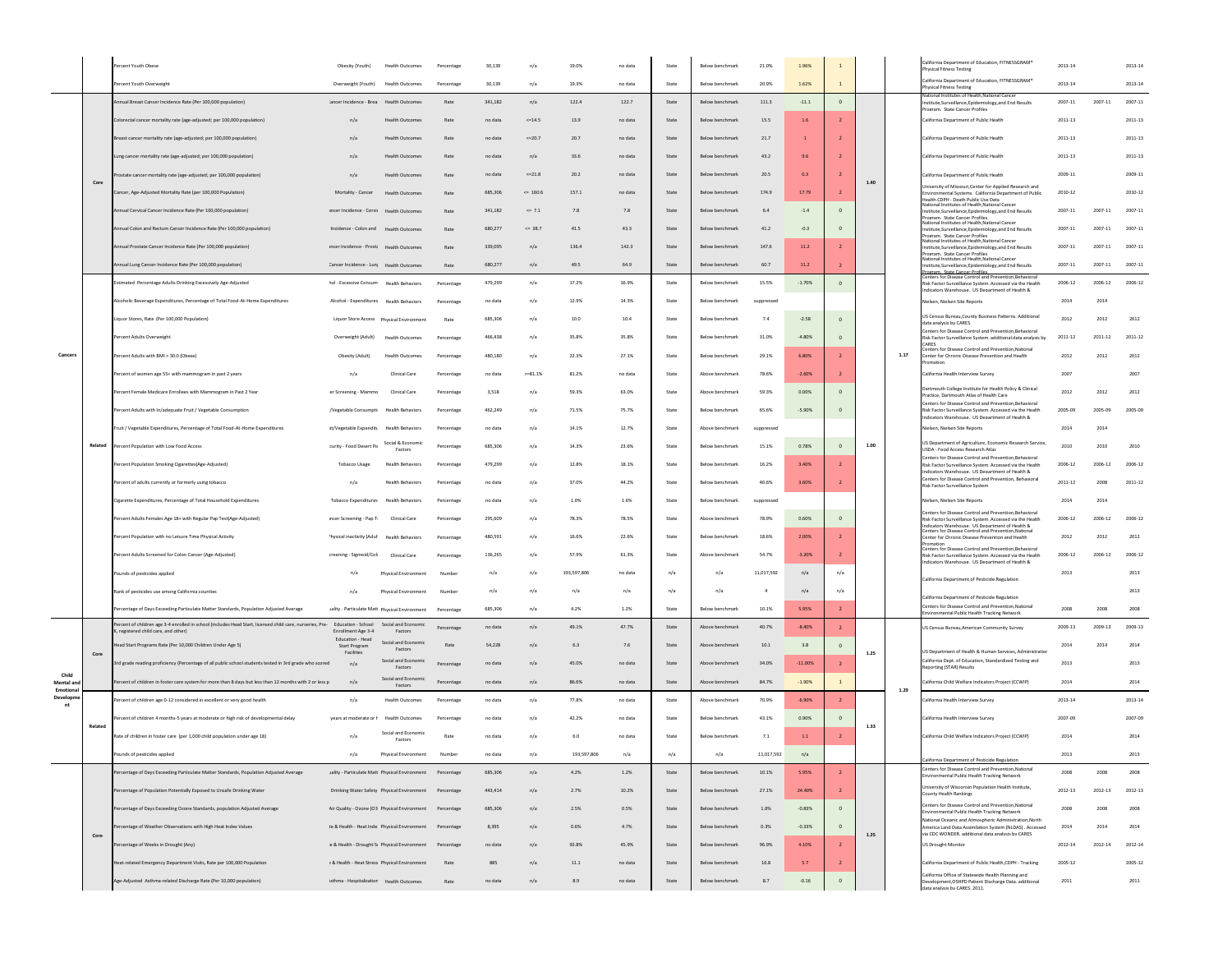|                                 |         | ercent Youth Obese                                                                                                                                                | Obesity (Youth)                                           | <b>Health Outcomes</b>                                | Percentage | 30,139  | n/a          | 19.0%       | no data | State                           | Below benchmark                    | 21.0%          | 1.96%     |                |          |      | <b>Ifornia Department of Education, FITNESSGRAM</b><br>ysical Fitness Testing                                                                                         | 2013-14     |             | 2013-14     |
|---------------------------------|---------|-------------------------------------------------------------------------------------------------------------------------------------------------------------------|-----------------------------------------------------------|-------------------------------------------------------|------------|---------|--------------|-------------|---------|---------------------------------|------------------------------------|----------------|-----------|----------------|----------|------|-----------------------------------------------------------------------------------------------------------------------------------------------------------------------|-------------|-------------|-------------|
|                                 |         | ercent Youth Overweight                                                                                                                                           | Overweight (Youth) Health Outcomes                        |                                                       | Percentage | 30,139  | n/a          | 19.3%       | no data | State                           | Below benchmark                    | 20.9%          | 1.62%     | $\mathbf{1}$   |          |      | alifornia Department of Education, FITNESSGRAM*<br>hysical Fitness Testing                                                                                            | 2013-14     |             | $2013 - 14$ |
|                                 |         | nual Breast Cancer Incidence Rate (Per 100,000 population)                                                                                                        | ancer Incidence - Brea                                    | <b>Health Outcomes</b>                                | Rate       | 341,182 | n/a          | 122.4       | 122.7   | State                           | Below benchmark                    | 111.3          | $-11.1$   | $\,$ 0 $\,$    |          |      | titutes of Health<br>stitute,Surveillance,Epidemiology,and End Results<br>Program. State Cancer Profiles                                                              | 2007-11     | 2007-11     | 2007-11     |
|                                 |         | orectal cancer mortality rate (age-adjusted; per 100,000 population)                                                                                              | n/a                                                       | Health Outcome                                        | Rate       | no data | $<=14.5$     | 13.9        | no data | State                           | Below benchmark                    | 15.5           | 1.6       |                |          |      | alifornia Department of Public Health                                                                                                                                 | 2011-13     |             | 2011-13     |
|                                 |         | reast cancer mortality rate (age-adjusted; per 100,000 population)                                                                                                | n/a                                                       | <b>Health Outcomes</b>                                | Rate       | no data | $<=20.7$     | 20.7        | no data | State                           | Below benchmark                    | 21.7           |           |                |          |      | California Department of Public Health                                                                                                                                | 2011-13     |             | 2011-13     |
|                                 |         | ung cancer mortality rate (age-adjusted: per 100,000 population)                                                                                                  | n/a                                                       | <b>Health Outcomes</b>                                | Rate       | no data | n/a          | 33.6        | no data | State                           | Below benchmark                    | 43.2           | 9.6       |                |          |      | California Department of Public Health                                                                                                                                | 2011-13     |             | 2011-13     |
|                                 |         | tate cancer mortality rate (age-adjusted; per 100,000 population)                                                                                                 | n/a                                                       | <b>Health Outcomes</b>                                | Rate       | no data | $<=21.8$     | 20.2        | no data | State                           | Below benchmark                    | 20.5           | 0.3       |                |          |      | California Department of Public Health                                                                                                                                | 2009-11     |             | 2009-11     |
|                                 | Core    | ancer, Age-Adjusted Mortality Rate (per 100,000 Population)                                                                                                       | Mortality - Cancer                                        | <b>Health Outcomes</b>                                | Rate       | 685.306 | $\leq 160.6$ | 157.1       | no data | State                           | Below benchmark                    | 174.9          | 17.79     |                | 1.40     |      | Iniversity of Missouri, Center for Applied Research and<br>wironmental Systems. California Department of Public                                                       | 2010-12     |             | 2010-12     |
|                                 |         | Annual Cervical Cancer Incidence Rate (Per 100,000 population)                                                                                                    | sncer Incidence - Cervi Health Outcomes                   |                                                       | Rate       | 341,182 | $\leq 7.1$   | 7.8         | 7.8     | State                           | Below benchmark                    | 6.4            | $-1.4$    | $\circ$        |          |      | ealth CDPH - Death Public Use Data<br>ational Institutes of Health, National Cancer<br>Institute,Surveillance,Epidemiology,and End Results                            | 2007-11     | 2007-11     | 2007-11     |
|                                 |         | nual Colon and Rectum Cancer Incidence Rate (Per 100,000 population)                                                                                              | Incidence - Colon and Health Outcomes                     |                                                       | Rate       | 680,277 | $<= 38.7$    | 41.5        | 43.3    | State                           | Below benchmark                    | 41.2           | $-0.3$    | $\mathbf{0}$   |          |      | neram State Cancer Profiles<br>Vational Institutes of Health National Cancer<br>nstitute,Surveillance,Epidemiology,and End Results                                    | 2007-11     | 2007-11     | 2007-11     |
|                                 |         | nnual Prostate Cancer Incidence Rate (Per 100,000 population)                                                                                                     | incer Incidence - Prosti Health Outcomes                  |                                                       | Rate       | 339,099 | n/a          | 136.4       | 142.3   | State                           | Below benchmark                    | 147.6          | 11.2      |                |          |      | rram State Cancer Prof<br>Vational Institutes of Health National Cancer<br>stitute,Surveillance,Epidemiology,and End Results                                          | 2007-11     | 2007-11     | 2007-11     |
|                                 |         | nnual Lung Cancer Incidence Rate (Per 100,000 population)                                                                                                         | Cancer Incidence - Lun Health Outcomes                    |                                                       | Rate       | 680.277 | n/a          | 49.5        | 64.9    | State                           | Below benchmark                    | 60.7           | 11.2      | $\overline{2}$ |          |      | eram State Cancer Profile<br>lational Institutes of Health, National Cancer<br>stitute,Surveillance,Epidemiology,and End Results                                      | 2007-11     | 2007-11     | 2007-11     |
|                                 |         | Estimated Percentage Adults Drinking Excessively Age-Adjusted                                                                                                     | hol - Excessive Consum Health Behaviors                   |                                                       | Percentage | 479,299 | n/a          | 17.2%       | 16.9%   | State                           | Below benchmark                    | 15.5%          | $-1.70%$  | $\mathbf{0}$   |          |      | -<br><u>Program - State Cancer Profiles</u><br>Centers for Disease Control and Prev<br>Risk Factor Surveillance System, Accessed via the Health                       | 2006-12     | 2006-12     | 2006-12     |
|                                 |         | Alcoholic Beverage Expenditures, Percentage of Total Food-At-Home Expenditures                                                                                    | Alcohol - Expenditures Health Behaviors                   |                                                       | Percentage | no data | n/a          | 12.9%       | 14.3%   | State                           | Below benchmark                    | suppressed     |           |                |          |      | dicators Warehouse IS Denartment of Health &<br>Nielsen, Nielsen Site Reports                                                                                         | 2014        | 2014        |             |
|                                 |         | iquor Stores, Rate (Per 100,000 Population)                                                                                                                       |                                                           |                                                       | Rate       | 685,306 | n/a          | 10.0        | 10.4    | State                           | Below benchmark                    | 7.4            | $-2.58$   |                |          |      | US Census Bureau, County Business Patterns. Additional                                                                                                                | 2012        | 2012        | 2012        |
|                                 |         | ercent Adults Overweight                                                                                                                                          | Overweight (Adult)                                        | <b>Health Outcomes</b>                                | Percentage | 466,438 | n/a          | 35.8%       | 35.8%   | State                           | Below benchmark                    | 31.0%          | $-4.80%$  | $\Omega$       |          |      | data analysis by CARES<br>nters for Disease Control and Prevention, Behavioral<br>sk Factor Surveillance System. additional data analysis by                          | 2011-12     | $2011 - 12$ | 2011-12     |
| Cancers                         |         | Percent Adults with BMI > 30.0 (Obese)                                                                                                                            | Obesity (Adult)                                           | <b>Health Outcomes</b>                                | Percentage | 480.180 | n/a          | 22.3%       | 27.1%   | State                           | Below benchmark                    | 29.1%          | 6.80%     | $\overline{z}$ |          | 1.17 | ters for Disease Control and Prevention, Nationa<br>Center for Chronic Disease Prevention and Health                                                                  | 2012        | 2012        | 2012        |
|                                 |         | Percent of women age 55+ with mammogram in past 2 years                                                                                                           | n/a                                                       | Clinical Care                                         | Percentage | no data | $>= 81.1%$   | 81.2%       | no data | State                           | Above benchmark                    | 78.6%          | $-2.60%$  | $\overline{2}$ |          |      | California Health Interview Survey                                                                                                                                    | 2007        |             | 2007        |
|                                 |         |                                                                                                                                                                   | er Screening - Mammo                                      |                                                       |            |         |              |             | 63.0%   | State                           |                                    | 59.3%          | 0.00%     |                |          |      | artmouth College Institute for Health Policy & Clinical                                                                                                               | 2012        | 2012        | 2012        |
|                                 |         | ercent Female Medicare Enrollees with Mammogram in Past 2 Year                                                                                                    |                                                           | <b>Clinical Care</b>                                  | Percentage | 3,518   | n/a          | 59.3%       |         |                                 | Above benchmark<br>Below benchmark |                |           |                |          |      | Practice. Dartmouth Atlas of Health Care<br>enters for Disease Control and Prevention.Behavioral                                                                      |             | 2005-09     | 2005-09     |
|                                 |         | cent Adults with In/adequate Fruit / Vegetable Consumption                                                                                                        | /Vegetable Consumpti Health Behaviors                     |                                                       | Percentage | 462,249 | n/a          | 71.5%       | 75.7%   | State                           |                                    | 65.6%          | $-5.90%$  | $\,$ 0         |          |      | Nisk Factor Surveillance System. Accessed via the Health<br>ndicators Warehouse LIS Denartment of Health &                                                            | 2005-09     |             |             |
|                                 |         | ruit / Vegetable Expenditures, Percentage of Total Food-At-Home Expenditures                                                                                      | it/Vegetable Expendit: Health Behaviors                   | Social & Economic                                     | Percentage | no data | n/a          | 14.1%       | 12.7%   | State                           | Above benchmark                    | suppressed     |           |                |          |      | lielsen. Nielsen Site Reports<br>US Department of Agriculture, Economic Research Service,                                                                             | 2014        | 2014        |             |
|                                 | Related | Percent Population with Low Food Access                                                                                                                           | curity - Food Desert Pc                                   | Factors                                               | Percentage | 685,306 | n/a          | 14.3%       | 23.6%   | State                           | Below benchmark                    | 15.1%          | 0.78%     |                | 1.00     |      | JSDA - Food Access Research Atlas<br>enters for Disease Control and Prevention, Behavioral                                                                            | 2010        | 2010        | 2010        |
|                                 |         | ercent Population Smoking Cigarettes(Age-Adjusted)                                                                                                                | <b>Tobacco Usage</b>                                      | <b>Health Behaviors</b>                               | Percentage | 479,299 | n/a          | 12.8%       | 18.1%   | State                           | Below benchmark                    | 16.2%          | 3.40%     |                |          |      | lisk Factor Surveillance System. Accessed via the Health<br>dicators Warehouse. US Department of Health &<br>"enters for Disease Control and Prevention, Rebavioral   | 2006-12     | 2006-12     | 2006-12     |
|                                 |         | Percent of adults currently or formerly using tobacco                                                                                                             | n/a                                                       | <b>Health Behaviors</b>                               | Percentage | no data | n/a          | 37.0%       | 44.2%   | State                           | Below benchmark                    | 40.6%          | 3.60%     |                |          |      | Risk Factor Surveillance System                                                                                                                                       | $2011 - 12$ | 2008        | 2011-12     |
|                                 |         | Cigarette Expenditures, Percentage of Total Household Expenditures                                                                                                | Tobacco Expenditures Health Behaviors                     |                                                       | Percentage | no data | n/a          | 1.0%        | 1.6%    | State                           | Below benchmark                    | suppressed     |           |                |          |      | lielsen, Nielsen Site Reports<br>Centers for Disease Control and Prevention.Behavioral                                                                                | 2014        | 2014        |             |
|                                 |         | Percent Adults Females Age 18+ with Regular Pap Test(Age-Adjusted)                                                                                                | ncer Screening - Pap T                                    | Clinical Care                                         | Percentage | 295,609 | n/a          | 78.3%       | 78.5%   | State                           | Above benchmark                    | 78.9%          | 0.60%     | $\mathbf{0}$   |          |      | Risk Factor Surveillance System, Accessed via the Health<br>dicators Warehouse IS Denartment of Health &<br>enters for Disease Control and Prevention.Nationa         | 2006-12     | 2006-12     | 2006-12     |
|                                 |         | Percent Population with no Leisure Time Physical Activity                                                                                                         | <sup>9</sup> hysical inactivity (Adul                     | <b>Health Behaviors</b>                               | Percentage | 480,591 | n/a          | 16.6%       | 22.6%   | State                           | Below benchmark                    | 18.6%          | 2.00%     |                |          |      | Center for Chronic Disease Prevention and Health<br>Centers for Disease Control and Prevention, Behavioral                                                            | 2012        | 2012        | 2012        |
|                                 |         | Percent Adults Screened for Colon Cancer (Age-Adjusted)                                                                                                           | creening - Sigmoid/Col                                    | Clinical Care                                         | Percentage | 136,265 | n/a          | 57.9%       | 61.3%   | State                           | Above benchmari                    | 54.7%          | $-3.20%$  | $\overline{2}$ |          |      | Nisk Factor Surveillance System. Accessed via the Health<br>dicators Warehouse IS Denartment of Health &                                                              | 2006-12     | 2006-12     | 2006-12     |
|                                 |         | ounds of pesticides applied                                                                                                                                       | n/a                                                       | Physical Environment                                  | Numbe      | n/a     | n/a          | 193,597,806 | no data | n/a                             | n/a                                | 11.017.592     | n/a       | n/a            |          |      | California Department of Pesticide Regulation                                                                                                                         | 2013        |             | 2013        |
|                                 |         | Rank of pesticides use among California counties                                                                                                                  | n/a                                                       | <b>Physical Environment</b>                           | Number     | n/a     | n/a          | n/a         | n/a     | n/a                             | n/a                                | $\overline{4}$ | n/a       | n/a            |          |      | ornia Department of Pesticide Regulation                                                                                                                              |             |             | 2013        |
|                                 |         | ercentage of Days Exceeding Particulate Matter Standards, Population Adjusted Average                                                                             | Jality - Particulate Matt Physical Environment            |                                                       | Percentage | 685,306 | n/a          | 4.2%        | 1.2%    | State                           | Below benchmark                    | 10.1%          | 5.95%     | $\overline{2}$ |          |      | enters for Disease Control and Prevention.National<br>wironmental Public Health Tracking Network                                                                      | 2008        | 2008        | 2008        |
|                                 |         | Percent of children age 3-4 enrolled in school (includes Head Start, licensed child care, nurseries, Pre- Education - School<br>registered child care, and other) | Enrollment Age 3-4                                        | Social and Economi<br>Factors                         | Percentage | no data | n/a          | 49.1%       | 47.7%   | State                           | Above benchmark                    | 40.7%          | $-8.40%$  | $\overline{2}$ |          |      | JS Census Bureau, American Community Survey                                                                                                                           | 2009-13     | 2009-13     | 2009-13     |
|                                 | Core    | ead Start Programs Rate (Per 10,000 Children Under Age 5)                                                                                                         | Education - Head<br>Start Program<br>Facilities           | Social and Economic<br>Factors                        | Rate       | 54.228  | n/a          | 6.3         | 7.6     | State                           | Above benchmark                    | 10.1           | 3.8       |                | 1.25     |      | US Department of Health & Human Services, Administratio                                                                                                               | 2014        | 2014        | 2014        |
|                                 |         | rd grade reading proficiency (Percentage of all public school students tested in 3rd grade who scored                                                             | n/a                                                       | Social and Economic<br>Factors                        | Percentage | no data | n/a          | 45.0%       | no data | State                           | Above benchmark                    | 34.0%          | $-11.00%$ | $\overline{z}$ |          |      | California Dept. of Education, Standardized Testing and<br>eporting (STAR) Results                                                                                    | 2013        |             | 2013        |
| Child<br>Mental and<br>Emotiona |         | rcent of children in foster care system for more than 8 days but less than 12 months with 2 or less p                                                             | n/a                                                       | Social and Economic<br>Factors                        | Percentage | no data | n/a          | 86.6%       | no data | $\operatorname{\mathsf{State}}$ | Above benchmark                    | 84.7%          | $-1.90%$  | $1\,$          |          | 1.29 | alifornia Child Welfare Indicators Project (CCWIP)                                                                                                                    | 2014        |             | 2014        |
| Developn                        |         | rcent of children age 0-12 considered in excellent or very good health                                                                                            | n/a                                                       | Health Outcomes                                       | Percentage | no data | n/a          | 77.8%       | no data | State                           | Above benchmark                    | 70.9%          | $-6.90%$  | $\overline{2}$ |          |      | alifornia Health Interview Survey                                                                                                                                     | 2013-14     |             | 2013-14     |
|                                 | Related | cent of children 4 months-5 years at moderate or high risk of developmental delay                                                                                 | years at moderate or h                                    | <b>Health Outcomes</b>                                | Percentage | no data | n/a          | 42.2%       | no data | State                           | Below benchmark                    | 43.1%          | 0.90%     |                | 1.33     |      | ilifornia Health Interview Survey                                                                                                                                     | 2007-09     |             | 2007-09     |
|                                 |         | late of children in foster care (per 1,000 child population under age 18)                                                                                         | n/a                                                       | Social and Economic<br>Factors                        | Rate       | no data | n/a          | 6.0         | no data | State                           | Below benchmark                    | 7.1            | 1.1       | $\overline{2}$ |          |      | California Child Welfare Indicators Project (CCWIP)                                                                                                                   | 2014        |             | 2014        |
|                                 |         | s of pesticides applied                                                                                                                                           | n/a                                                       | <b>Physical Environment</b>                           | Number     | no data | n/a          | 193,597,806 | n/a     | n/a                             | n/a                                | 11.017.592     | n/a       |                |          |      | <b>lifornia Department of Pesticide Regulation</b>                                                                                                                    | 2013        |             | 2013        |
|                                 |         | centage of Days Exceeding Particulate Matter Standards, Population Adjusted Average                                                                               | Jality - Particulate Matt Physical Environment Percentage |                                                       |            | 685,306 | n/a          | 4.2%        | 1.2%    | State                           | Below benchmark                    | 10.1%          | 5.95%     |                |          |      | enters for Disease Control and Prevention, National<br>vironmental Public Health Tracking Network                                                                     | 2008        | 2008        | 2008        |
|                                 |         | ercentage of Population Potentially Exposed to Unsafe Drinking Water                                                                                              |                                                           | Drinking Water Safety Physical Environment Percentage |            | 443,414 | n/a          | 2.7%        | 10.2%   | State                           | Below benchmark                    | 27.1%          | 24.40%    |                |          |      | <b>Jniversity of Wisconsin Population Health Institute.</b><br>County Health Rankings                                                                                 | 2012-13     | 2012-13     | 2012-13     |
|                                 |         | ercentage of Days Exceeding Ozone Standards, population Adjusted Average                                                                                          | Air Quality - Ozone (O3 Physical Environment Percentage   |                                                       |            | 685,306 | n/a          | 2.5%        | 0.5%    | State                           | Below benchmark                    | 1.6%           | $-0.83%$  | $\mathbf{0}$   |          |      | Centers for Disease Control and Prevention, National<br>onmental Public Health Tracking Network                                                                       | 2008        | 2008        | 2008        |
|                                 |         | rcentage of Weather Observations with High Heat Index Values                                                                                                      | te & Health - Heat Inde Physical Environment Percentage   |                                                       |            | 8,395   | n/a          | 0.6%        | 4.7%    | State                           | Below benchmark                    | 0.3%           | $-0.33%$  | $\circ$        |          |      | Vational Oceanic and Atmospheric Administration.North<br>America Land Data Assimilation System (NLDAS), Accessed<br>via CDC WONDER. additional data analysis by CARES | 2014        | 2014        | 2014        |
|                                 | Core    | ercentage of Weeks in Drought (Any)                                                                                                                               | e & Health - Drought S Physical Environment Percentage    |                                                       |            | no data | n/a          | 92.8%       | 45.9%   | State                           | Below benchmark                    | 96.9%          | 4.10%     | $\overline{2}$ | $1.25\,$ |      | JS Drought Monitor                                                                                                                                                    | 2012-14     | 2012-14     | 2012-14     |
|                                 |         | eat-related Emergency Department Visits, Rate per 100,000 Population                                                                                              | : & Health - Heat Stress Physical Environment             |                                                       | Rate       | 885     | n/a          | $11.1\,$    | no data | State                           | Below benchmark                    | 16.8           | 5.7       | $\overline{2}$ |          |      | California Department of Public Health, CDPH - Tracking                                                                                                               | 2005-12     |             | 2005-12     |
|                                 |         | Age-Adjusted Asthma-related Discharge Rate (Per 10,000 population)                                                                                                | isthma - Hospitalizatior Health Outcomes                  |                                                       | Rate       | no data | n/a          | 8.9         | no data | State                           | Below benchmark                    | 8.7            | $-0.16$   | $\circ$        |          |      | alifornia Office of Statewide Health Planning and<br>velopment, OSHPD Patient Discharge Data. additional                                                              | 2011        |             | 2011        |
|                                 |         |                                                                                                                                                                   |                                                           |                                                       |            |         |              |             |         |                                 |                                    |                |           |                |          |      | data analysis by CARES, 2011.                                                                                                                                         |             |             |             |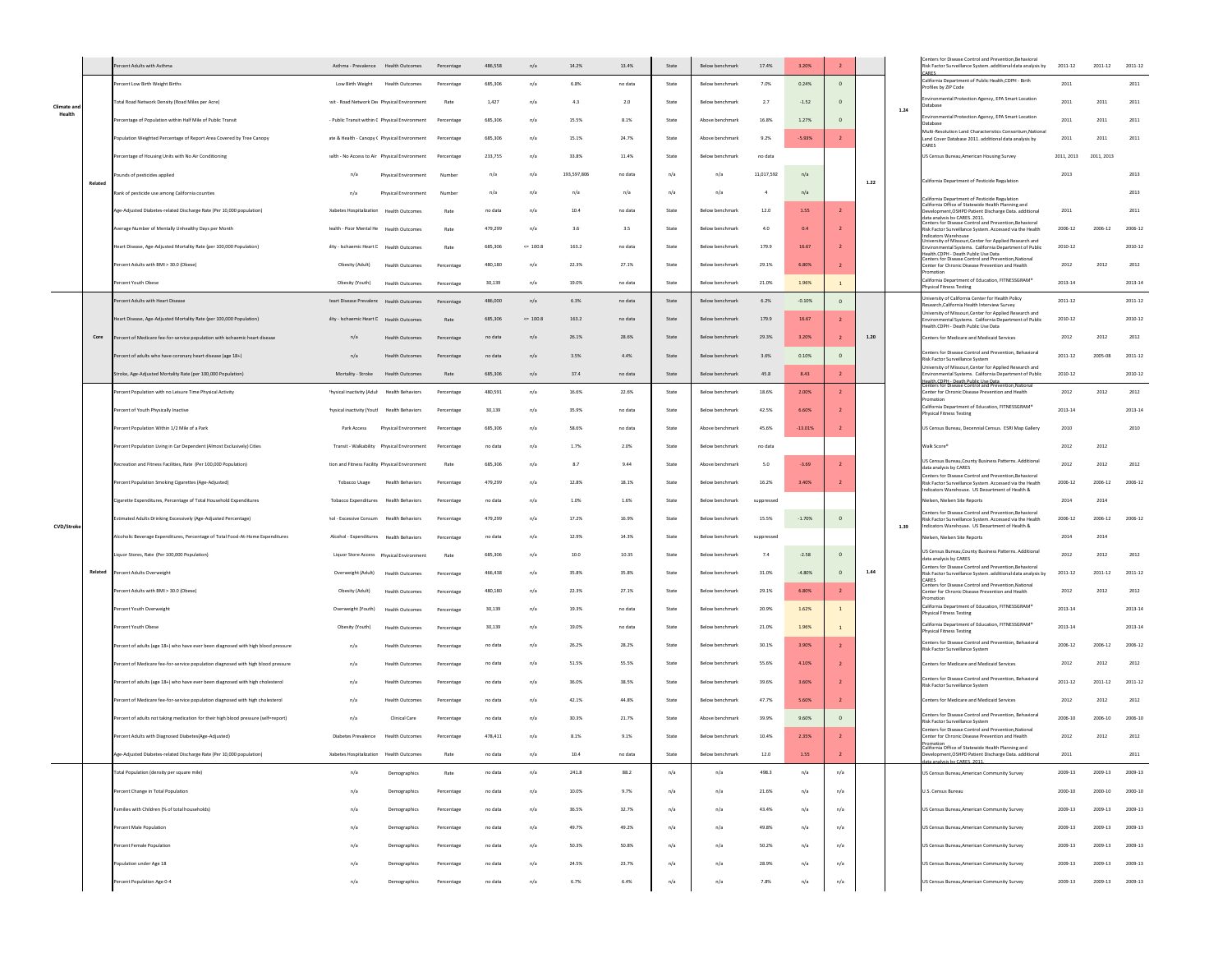|                       |         | Percent Adults with Asthma                                                         | Asthma - Prevalence Health Outcomes            |                                            | Percentage | 486,558 | n/a          | 14.2%       | 13.4%   | State | Below benchmark | 17.4%          | 3.20%     | $\overline{2}$ |      |      | Centers for Disease Control and Prevention.Behaviora<br>lisk Factor Surveillance System. additional data analysis by                                              | 2011-12     | 2011-12     | 2011-12    |
|-----------------------|---------|------------------------------------------------------------------------------------|------------------------------------------------|--------------------------------------------|------------|---------|--------------|-------------|---------|-------|-----------------|----------------|-----------|----------------|------|------|-------------------------------------------------------------------------------------------------------------------------------------------------------------------|-------------|-------------|------------|
|                       |         | Percent Low Birth Weight Births                                                    | Low Birth Weight Health Outcomes               |                                            | Percentage | 685,306 | n/a          | 6.8%        | no data | State | Below benchmark | 7.0%           | 0.24%     | $\mathbf 0$    |      |      | alifornia Department of Public Health, CDPH - Birth                                                                                                               | 2011        |             | 2011       |
|                       |         | <b>Total Road Network Density (Road Miles per Acre)</b>                            | ssit - Road Network De Physical Environment    |                                            | Rate       | 1,427   | n/a          | $4.3\,$     | $2.0\,$ | State | Below benchmark | 2.7            | $-1.52$   |                |      |      | rofiles by ZIP Code<br>vironmental Protection Agency, EPA Smart Location                                                                                          | 2011        | 2011        | 2011       |
| Climate and<br>Health |         | Percentage of Population within Half Mile of Public Transit                        | - Public Transit within C Physical Environment |                                            | Percentage | 685,306 | n/a          | 15.5%       | 8.1%    | State | Above benchmark | 16.8%          | 1.27%     | $\Omega$       |      | 1.24 | Jatabase<br>wironmental Protection Agency, EPA Smart Location<br>Jatabase                                                                                         | 2011        | 2011        | 2011       |
|                       |         | Population Weighted Percentage of Report Area Covered by Tree Canopy               | ste & Health - Canopy ( Physical Environment   |                                            | Percentage | 685,306 | n/a          | 15.1%       | 24.7%   | State | Above benchmark | 9.2%           | $-5.93%$  | $\overline{2}$ |      |      | Aulti-Resolution Land Characteristics Consortium.National<br>and Cover Database 2011. additional data analysis by                                                 | 2011        | 2011        | 2011       |
|                       |         | Percentage of Housing Units with No Air Conditioning                               | talth - No Access to Air Physical Environment  |                                            | Percentage | 233,755 | n/a          | 33.8%       | 11.4%   | State | Below benchmark | no data        |           |                |      |      | CARES<br>US Census Bureau, American Housing Survey                                                                                                                | 2011, 2013  | 2011, 2013  |            |
|                       |         | unds of pesticides applied                                                         | n/a                                            | Physical Environment                       | Numbe      | n/a     | n/a          | 193,597,806 | no data | n/a   | n/a             | 11,017,592     | n/a       |                |      |      |                                                                                                                                                                   | 2013        |             | 2013       |
|                       | Related |                                                                                    |                                                |                                            |            | n/a     | n/a          | n/a         | n/a     | n/a   | n/a             | $\overline{4}$ | n/a       |                | 1.22 |      | California Department of Pesticide Regulation                                                                                                                     |             |             | 2013       |
|                       |         | Rank of pesticide use among California counties                                    | n/a                                            | Physical Environment                       |            |         |              |             |         |       |                 |                |           |                |      |      | California Department of Pesticide Regulation<br>California Office of Statewide Health Planning and                                                               |             |             |            |
|                       |         | Age-Adjusted Diabetes-related Discharge Rate (Per 10,000 population)               | )iabetes Hospitalizatior Health Outcomes       |                                            | Rate       | no data | n/a          | 10.4        | no data | State | Below benchmark | 12.0           | 1.55      | $\overline{2}$ |      |      | Development, OSHPD Patient Discharge Data. additional<br>data analysis hy CARES 2011<br>enters for Disease Control and Prevention Rebavioral                      | 2011        |             | 2011       |
|                       |         | Average Number of Mentally Unhealthy Days per Month                                | lealth - Poor Mental He Health Outcomes        |                                            | Rate       | 479,299 | n/a          | 3.6         | 3.5     | State | Below benchmark | 4.0            | 0.4       |                |      |      | Risk Factor Surveillance System. Accessed via the Health<br>dicators Warehouse<br>niversity of Missouri,Center for Applied Research and                           | 2006-12     | 2006-12     | 2006-12    |
|                       |         | Heart Disease, Age-Adjusted Mortality Rate (per 100,000 Population)                | lity - Ischaemic Heart E Health Outcomes       |                                            | Rate       | 685,306 | $\leq$ 100.8 | 163.2       | no data | State | Below benchmark | 179.9          | 16.67     |                |      |      | ironmental Systems. California Department of Public<br>lealth CDPH - Death Public Lise Data<br>enters for Disease Control and Prevention,National                 | 2010-12     |             | 2010-12    |
|                       |         | Percent Adults with BMI > 30.0 (Obese)                                             | Obesity (Adult)                                | Health Outcome:                            | Percentage | 480.180 | n/a          | 22.3%       | 27.1%   | State | Below benchmark | 29.1%          | 6.80%     |                |      |      | enter for Chronic Disease Prevention and Health<br>alifornia Department of Education, FITNESSGRAM®                                                                | 2012        | 2012        | 2012       |
|                       |         | Percent Youth Obese                                                                | Obesity (Youth)                                | <b>Health Outcomes</b>                     | Percentage | 30,139  | n/a          | 19.0%       | no data | State | Below benchmark | 21.0%          | 1.96%     | $\overline{1}$ |      |      | <b>hysical Fitness Testing</b>                                                                                                                                    | 2013-14     |             | 2013-14    |
|                       |         | Percent Adults with Heart Disease                                                  | leart Disease Prevalent Health Outcomes        |                                            | Percentage | 486,000 | n/a          | 6.3%        | no data | State | Below benchmark | 6.2%           | $-0.10%$  | $\circ$        |      |      | niversity of California Center for Health Policy<br>esearch, California Health Interview Survey<br>iversity of Missouri, Center for Applied Research and          | $2011 - 12$ |             | 2011-12    |
|                       |         | Heart Disease, Age-Adjusted Mortality Rate (per 100,000 Population)                | lity - Ischaemic Heart E                       | <b>Health Outcomes</b>                     | Rate       | 685,306 | $\leq 100.8$ | 163.2       | no data | State | Below benchmark | 179.9          | 16.67     |                |      |      | ironmental Systems. California Department of Public<br>alth CDPH - Death Public Lise Data                                                                         | 2010-12     |             | 2010-12    |
|                       | Core    | ercent of Medicare fee-for-service population with ischaemic heart disease         | n/a                                            | <b>Health Outcome:</b>                     | Percentage | no data | n/a          | 26.1%       | 28.6%   | State | Below benchmark | 29.3%          | 3.20%     |                | 1.20 |      | Centers for Medicare and Medicaid Services                                                                                                                        | 2012        | 2012        | 2012       |
|                       |         | Percent of adults who have coronary heart disease (age 18+)                        | n/a                                            | <b>Health Outcomes</b>                     | Percentage | no data | n/a          | 3.5%        | 4.4%    | State | Below benchmark | 3.6%           | 0.10%     | $\Omega$       |      |      | Centers for Disease Control and Prevention, Behavioral<br>isk Factor Surveillance System<br>niversity of Missouri.Center for Applied Research and                 | $2011 - 12$ | 2005-08     | 2011-12    |
|                       |         | Stroke, Age-Adjusted Mortality Rate (per 100,000 Population)                       | Mortality - Stroke                             | <b>Health Outcomes</b>                     | Rate       | 685,306 | n/a          | 37.4        | no data | State | Below benchmark | 45.8           | 8.43      | $\overline{2}$ |      |      | wironmental Systems. California Department of Public<br>"DPH - Death Public Lise Data<br>Centers for Disease Control and Prevention, Nationa                      | 2010-12     |             | 2010-12    |
|                       |         | Percent Population with no Leisure Time Physical Activity                          | 'hysical inactivity (Adul                      | <b>Health Behaviors</b>                    | Percentage | 480,591 | n/a          | 16.6%       | 22.6%   | State | Below benchmark | 18.6%          | 2.00%     |                |      |      | lenter for Chronic Disease Prevention and Health                                                                                                                  | 2012        | 2012        | 2012       |
|                       |         | Percent of Youth Physically Inactive                                               | frysical inactivity (Youti                     | Health Behaviors                           | Percentage | 30,139  | n/a          | 35.9%       | no data | State | Below benchmark | 42.5%          | 6.60%     |                |      |      | alifornia Denartment of Education FITNESSGRAM®<br>Physical Fitness Testing                                                                                        | 2013-14     |             | 2013-14    |
|                       |         | Percent Population Within 1/2 Mile of a Park                                       | Park Access                                    | Physical Environment                       | Percentage | 685,306 | n/a          | 58.6%       | no data | State | Above benchmark | 45.6%          | $-13.01%$ |                |      |      | US Census Bureau, Decennial Census. ESRI Map Gallery                                                                                                              | 2010        |             | 2010       |
|                       |         | Percent Population Living in Car Dependent (Almost Exclusively) Cities             |                                                | Transit - Walkability Physical Environment | Percentage | no data | n/a          | 1.7%        | 2.0%    | State | Below benchmark | no data        |           |                |      |      | Walk Score*                                                                                                                                                       | 2012        | 2012        |            |
|                       |         | Recreation and Fitness Facilities, Rate (Per 100,000 Population)                   | tion and Fitness Facility Physical Environment |                                            | Rate       | 685,306 | n/a          | 8.7         | 9.44    | State | Above benchmark | 5.0            | $-3.69$   |                |      |      | US Census Bureau, County Business Patterns. Additional<br>data analysis by CARES                                                                                  | 2012        | 2012        | 2012       |
|                       |         | Percent Population Smoking Cigarettes (Age-Adjusted)                               | <b>Tobacco Usage</b>                           | <b>Health Behaviors</b>                    | Percentage | 479,299 | n/a          | 12.8%       | 18.1%   | State | Below benchmark | 16.2%          | 3.40%     |                |      |      | enters for Disease Control and Prevention, Behaviora<br>Risk Factor Surveillance System. Accessed via the Health<br>dicators Warehouse. US Department of Health & | 2006-12     | 2006-12     | 2006-12    |
|                       |         | Cigarette Expenditures, Percentage of Total Household Expenditures                 | Tobacco Expenditures Health Behaviors          |                                            | Percentage | no data | n/a          | 1.0%        | 1.6%    | State | Below benchmark | suppressed     |           |                |      |      | ielsen, Nielsen Site Reports                                                                                                                                      | 2014        | 2014        |            |
| CVD/Strok             |         | Estimated Adults Drinking Excessively (Age-Adjusted Percentage)                    | hol - Excessive Consum Health Behaviors        |                                            | Percentage | 479,299 | n/a          | 17.2%       | 16.9%   | State | Below benchmark | 15.5%          | $-1.70%$  | $\,$ 0         |      | 1.39 | enters for Disease Control and Prevention.Behavioral<br>Risk Factor Surveillance System, Accessed via the Health<br>adicators Warehouse IS Denartment of Health & | 2006-12     | 2006-12     | 2006-12    |
|                       |         | Alcoholic Beverage Expenditures, Percentage of Total Food-At-Home Expenditures     | Alcohol - Expenditures Health Behaviors        |                                            | Percentage | no data | n/a          | 12.9%       | 14.3%   | State | Below benchmark | suppressed     |           |                |      |      | Nielsen, Nielsen Site Reports                                                                                                                                     | 2014        | 2014        |            |
|                       |         | Liquor Stores, Rate (Per 100,000 Population)                                       |                                                |                                            | Rate       | 685,306 | n/a          | 10.0        | 10.35   | State | Below benchmark | 7.4            | $-2.58$   | $\mathbb O$    |      |      | US Census Bureau, County Business Patterns. Additional<br>data analysis by CARES                                                                                  | 2012        | 2012        | 2012       |
|                       | Related | Percent Adults Overweight                                                          | Overweight (Adult)                             | <b>Health Outcomes</b>                     | Percentage | 466.438 | n/a          | 35.8%       | 35.8%   | State | Below benchmark | 31.0%          | $-4.80%$  | $\Omega$       | 1.44 |      | Centers for Disease Control and Prevention, Behavioral<br>Risk Factor Surveillance System. additional data analysis by                                            | $2011 - 12$ | $2011 - 12$ | 2011-12    |
|                       |         | Percent Adults with BMI > 30.0 (Obese)                                             | Obesity (Adult)                                | <b>Health Outcomes</b>                     | Percentage | 480,180 | n/a          | 22.3%       | 27.1%   | State | Below benchmark | 29.1%          | 6.80%     | $\overline{z}$ |      |      | CARES<br>lenters for Disease Control and Prevention.National<br>Center for Chronic Disease Prevention and Health                                                  | 2012        | 2012        | 2012       |
|                       |         | Percent Youth Overweight                                                           | Overweight (Youth)                             | <b>Health Outcomes</b>                     | Percentage | 30,139  | n/a          | 19.3%       | no data | State | Below benchmark | 20.9%          | 1.62%     |                |      |      | notion<br>California Department of Education, FITNESSGRAM®<br>Physical Fitness Testing                                                                            | 2013-14     |             | $2013 - 1$ |
|                       |         | Percent Youth Obese                                                                | Obesity (Youth)                                | Health Outcomes                            | Percentage | 30,139  | n/a          | 19.0%       | no data | State | Below benchmark | 21.0%          | 1.96%     |                |      |      | California Department of Education, FITNESSGRAM*<br><b>Physical Fitness Testing</b>                                                                               | 2013-14     |             | 2013-14    |
|                       |         | Percent of adults (age 18+) who have ever been diagnosed with high blood pressure  | n/a                                            | <b>Health Outcome:</b>                     | Percentage | no data | n/a          | 26.2%       | 28.2%   | State | Below benchmark | 30.1%          | 3.90%     |                |      |      | lenters for Disease Control and Prevention, Behavioral<br>Risk Factor Surveillance System                                                                         | 2006-12     | 2006-12     | 2006-12    |
|                       |         | Percent of Medicare fee-for-service population diagnosed with high blood pressure  | n/a                                            | <b>Health Outcomes</b>                     | Percentage | no data | n/a          | 51.5%       | 55.5%   | State | Below benchmark | 55.6%          | 4.10%     |                |      |      | Centers for Medicare and Medicaid Services                                                                                                                        | 2012        | 2012        | 2012       |
|                       |         | Percent of adults (age 18+) who have ever been diagnosed with high cholesterol     | n/a                                            | Health Outcomes                            | Percentage | no data | n/a          | 36.0%       | 38.5%   | State | Below benchmark | 39.6%          | 3.60%     |                |      |      | Centers for Disease Control and Prevention, Behavioral<br>Risk Factor Surveillance System                                                                         | 2011-12     | 2011-12     | 2011-12    |
|                       |         | Percent of Medicare fee-for-service population diagnosed with high cholesterol     | n/a                                            | <b>Health Outcomes</b>                     | Percentage | no data | n/a          | 42.1%       | 44.8%   | State | Below benchmark | 47.7%          | 5.60%     |                |      |      | enters for Medicare and Medicaid Services                                                                                                                         | 2012        | 2012        | 2012       |
|                       |         | ercent of adults not taking medication for their high blood pressure (self=report) | n/a                                            | Clinical Care                              | Percentage | no data | n/a          | 30.3%       | 21.7%   | State | Above benchmark | 39.9%          | 9.60%     | $\mathbf 0$    |      |      | enters for Disease Control and Prevention, Behavioral                                                                                                             | 2006-10     | 2006-10     | 2006-10    |
|                       |         | Percent Adults with Diagnosed Diabetes(Age-Adjusted)                               | Diabetes Prevalence Health Outcomes            |                                            | Percentage | 478,411 | n/a          | 8.1%        | 9.1%    | State | Below benchmark | 10.4%          | 2.35%     | $\overline{2}$ |      |      | Risk Factor Surveillance System<br>enters for Disease Control and Prevention, National<br>Center for Chronic Disease Prevention and Health                        | 2012        | 2012        | 2012       |
|                       |         | ge-Adjusted Diabetes-related Discharge Rate (Per 10.000 population)                | Jiabetes Hospitalization Health Outcomes       |                                            | Rate       | no data | n/a          | 10.4        | no data | State | Below benchmark | 12.0           | 1.55      |                |      |      | California Office of Statewide Health Planning and<br>onment OSHPD Patient Discharge Data                                                                         | 2011        |             | 2011       |
|                       |         | Total Population (density per square mile)                                         | n/a                                            |                                            |            | no data | n/a          | 241.8       | 88.2    | n/a   | n/a             | 498.3          | n/a       | n/a            |      |      | US Census Bureau.American Community Survey                                                                                                                        | 2009-13     | 2009-13     | 2009-13    |
|                       |         |                                                                                    |                                                | Demographics                               | Rate       |         |              |             |         |       |                 |                |           |                |      |      |                                                                                                                                                                   |             |             |            |
|                       |         | Percent Change in Total Population                                                 | n/a                                            | Demographics                               | Percentage | no data | n/a          | 10.0%       | 9.7%    | n/a   | n/a             | 21.6%          | n/a       | n/a            |      |      | U.S. Census Bureau                                                                                                                                                | $2000 - 10$ | $2000 - 10$ | 2000-10    |
|                       |         | Families with Children (% of total households)                                     | n/a                                            | Demographics                               | Percentage | no data | n/a          | 36.5%       | 32.7%   | n/a   | n/a             | 43.4%          | n/a       | n/a            |      |      | US Census Bureau, American Community Survey                                                                                                                       | 2009-13     | 2009-13     | 2009-13    |
|                       |         | Percent Male Population                                                            | n/a                                            | Demographics                               | Percentage | no data | n/a          | 49.7%       | 49.2%   | n/a   | n/a             | 49.8%          | n/a       | n/a            |      |      | US Census Bureau, American Community Survey                                                                                                                       | 2009-13     | 2009-13     | 2009-13    |
|                       |         | Percent Female Population                                                          | n/a                                            | Demographics                               | Percentage | no data | n/a          | 50.3%       | 50.8%   | n/a   | n/a             | 50.2%          | n/a       | n/a            |      |      | US Census Bureau, American Community Survey                                                                                                                       | 2009-13     | 2009-13     | 2009-13    |
|                       |         | Population under Age 18                                                            | n/a                                            | Demographics                               | Percentage | no data | n/a          | 24.5%       | 23.7%   | n/a   | n/a             | 28.9%          | n/a       | n/a            |      |      | US Census Bureau, American Community Survey                                                                                                                       | 2009-13     | $2009 - 13$ | 2009-13    |
|                       |         | Percent Population Age 0-4                                                         | n/a                                            | Demographics                               | Percentage | no data | n/a          | 6.7%        | 6.4%    | n/a   | n/a             | 7.8%           | n/a       | n/a            |      |      | US Census Bureau, American Community Survey                                                                                                                       | 2009-13     | $2009 - 13$ | 2009-13    |
|                       |         |                                                                                    |                                                |                                            |            |         |              |             |         |       |                 |                |           |                |      |      |                                                                                                                                                                   |             |             |            |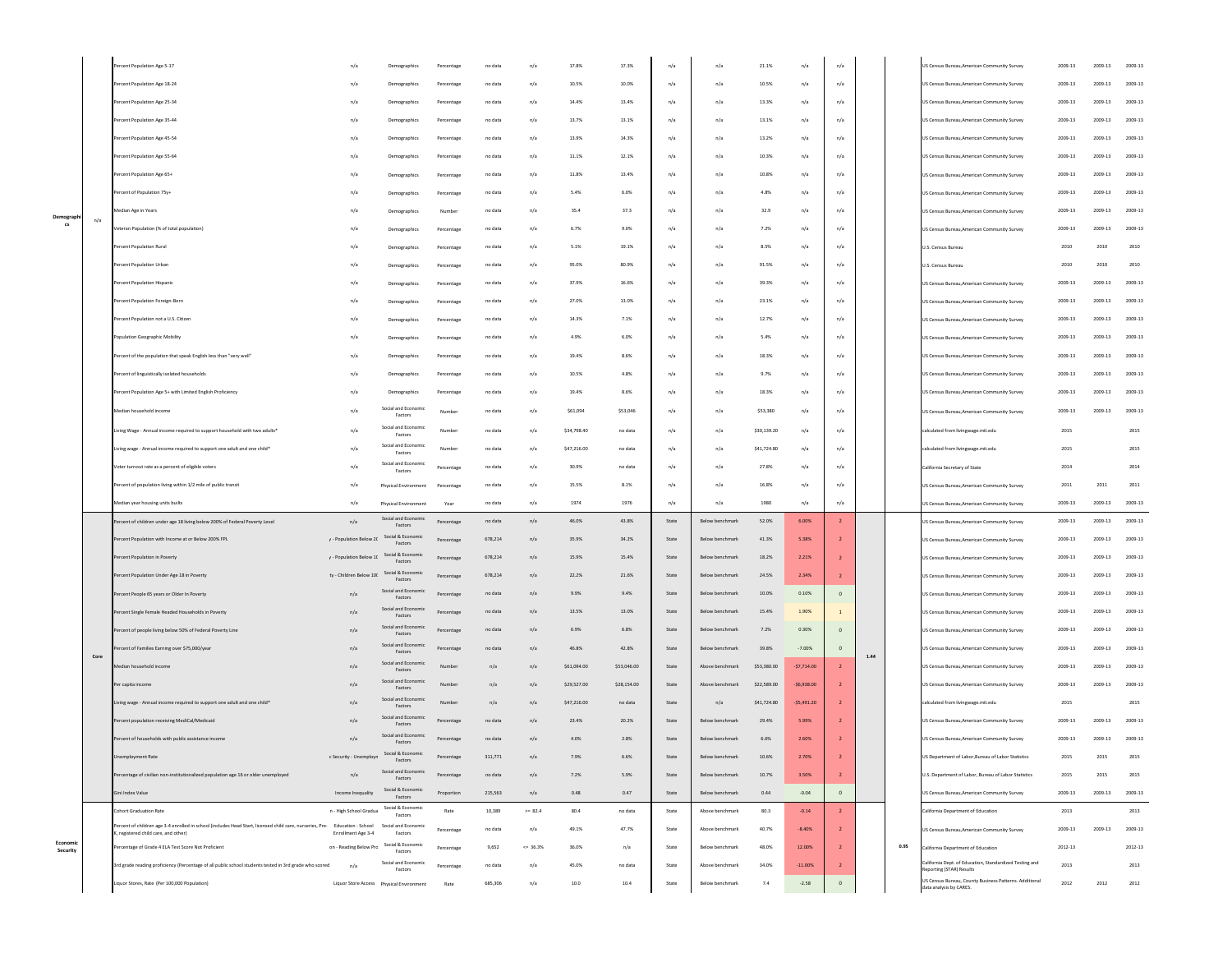|      | Percent Population Age 5-17                                                                                                                                         | n/a                       | Demographics                        | Percentage | no data | n/a          | 17.8%       | 17.3%       | n/a                             | n/a             | 21.1%       | n/a            | n/a            |      |      | JS Census Bureau, American Community Survey                                         | 2009-13     | 2009-13     | 2009-13 |
|------|---------------------------------------------------------------------------------------------------------------------------------------------------------------------|---------------------------|-------------------------------------|------------|---------|--------------|-------------|-------------|---------------------------------|-----------------|-------------|----------------|----------------|------|------|-------------------------------------------------------------------------------------|-------------|-------------|---------|
|      | Percent Population Age 18-24                                                                                                                                        | n/a                       | Demographics                        | Percentage | no data | n/a          | 10.5%       | 10.0%       | n/a                             | n/a             | 10.5%       | n/a            | n/a            |      |      | US Census Bureau.American Community Survey                                          | 2009-13     | $2009 - 13$ | 2009-13 |
|      | Percent Population Age 25-34                                                                                                                                        | n/a                       | Demographics                        | Percentage | no data | n/a          | 14.4%       | 13.4%       | n/a                             | n/a             | 13.3%       | n/a            | n/a            |      |      | US Census Bureau, American Community Survey                                         | 2009-13     | 2009-13     | 2009-13 |
|      | Percent Population Age 35-44                                                                                                                                        | n/a                       | Demographics                        | Percentage | no data | n/a          | 13.7%       | 13.1%       | n/a                             | n/a             | 13.1%       | n/a            | n/a            |      |      | US Census Bureau, American Community Survey                                         | 2009-13     | 2009-13     | 2009-13 |
|      | Percent Population Age 45-54                                                                                                                                        | n/a                       | Demographics                        | Percentage | no data | n/a          | 13.9%       | 14.3%       | n/a                             | n/a             | 13.2%       | n/a            | n/a            |      |      | US Census Bureau, American Community Survey                                         | 2009-13     | $2009 - 13$ | 2009-13 |
|      | Percent Population Age 55-64                                                                                                                                        | n/a                       | Demographics                        | Percentage | no data | n/a          | 11.1%       | 12.1%       | n/a                             | n/a             | 10.3%       | n/a            | n/a            |      |      | US Census Bureau, American Community Survey                                         | 2009-13     | $2009 - 13$ | 2009-13 |
|      | Percent Population Age 65+                                                                                                                                          | n/a                       | Demographics                        | Percentage | no data | n/a          | 11.8%       | 13.4%       | n/a                             | n/a             | 10.8%       | n/a            | n/a            |      |      | US Census Bureau, American Community Survey                                         | 2009-13     | 2009-13     | 2009-13 |
|      | Percent of Population 75y+                                                                                                                                          | n/a                       | Demographics                        | Percentage | no data | n/a          | 5.4%        | 6.0%        | n/a                             | n/a             | 4.8%        | n/a            | n/a            |      |      | US Census Bureau, American Community Survey                                         | 2009-13     | 2009-13     | 2009-13 |
|      | Median Age in Years                                                                                                                                                 | n/a                       | Demographics                        | Number     | no data | n/a          | 35.4        | 37.3        | n/a                             | n/a             | 32.9        | n/a            | n/a            |      |      | US Census Bureau, American Community Survey                                         | 2009-13     | $2009 - 13$ | 2009-13 |
| n/a  | /eteran Population (% of total population)                                                                                                                          | n/a                       | Demographics                        | Percentage | no data | n/a          | 6.7%        | 9.0%        | n/a                             | n/a             | 7.2%        | n/a            | n/a            |      |      | US Census Bureau, American Community Survey                                         | 2009-13     | 2009-13     | 2009-13 |
|      | ercent Population Rural                                                                                                                                             | n/a                       | Demographics                        | Percentage | no data | n/a          | 5.1%        | 19.1%       | n/a                             | n/a             | 8.5%        | n/a            | n/a            |      |      | U.S. Census Bureau                                                                  | 2010        | 2010        | 2010    |
|      | Percent Population Urban                                                                                                                                            | n/a                       | Demographics                        | Percentage | no data | n/a          | 95.0%       | 80.9%       | n/a                             | n/a             | 91.5%       | n/a            | n/a            |      |      | U.S. Census Bureau                                                                  | 2010        | 2010        | 2010    |
|      | Percent Population Hispanic                                                                                                                                         | n/a                       | Demographics                        | Percentage | no data | n/a          | 37.9%       | 16.6%       | n/a                             | n/a             | 39.3%       | n/a            | n/a            |      |      | US Census Bureau, American Community Survey                                         | 2009-13     | 2009-13     | 2009-13 |
|      | Percent Population Foreign-Born                                                                                                                                     | n/a                       | Demographics                        | Percentage | no data | n/a          | 27.0%       | 13.0%       | n/a                             | n/a             | 23.1%       | n/a            | n/a            |      |      | US Census Bureau, American Community Survey                                         | 2009-13     | $2009 - 13$ | 2009-13 |
|      | Percent Population not a U.S. Citizen                                                                                                                               | n/a                       | Demographics                        | Percentage | no data | n/a          | 14.3%       | 7.1%        | n/a                             | n/a             | 12.7%       | n/a            | n/a            |      |      | US Census Bureau, American Community Survey                                         | 2009-13     | 2009-13     | 2009-13 |
|      | <b>Population Geographic Mobility</b>                                                                                                                               | n/a                       |                                     |            | no data | n/a          | 4.9%        | 6.0%        | n/a                             | n/a             | 5.4%        | n/a            | n/a            |      |      |                                                                                     | 2009-13     | 2009-13     | 2009-13 |
|      | Percent of the population that speak English less than "very well"                                                                                                  |                           | Demographics                        | Percentage |         |              |             |             |                                 |                 |             |                |                |      |      | US Census Bureau, American Community Survey                                         |             |             |         |
|      |                                                                                                                                                                     | n/a                       | Demographics                        | Percentage | no data | n/a          | 19.4%       | 8.6%        | n/a                             | n/a             | 18.3%       | n/a            | n/a            |      |      | US Census Bureau.American Community Survey                                          | 2009-13     | 2009-13     | 2009-13 |
|      | Percent of linguistically isolated households                                                                                                                       | n/a                       | Demographics                        | Percentage | no data | n/a          | 10.5%       | 4.8%        | n/a                             | n/a             | 9.7%        | n/a            | n/a            |      |      | US Census Bureau.American Community Survey                                          | 2009-13     | $2009 - 13$ | 2009-13 |
|      | Percent Population Age 5+ with Limited English Proficiency                                                                                                          | n/a                       | Demographics<br>Social and Economic | Percentage | no data | n/a          | 19.4%       | 8.6%        | n/a                             | n/a             | 18.3%       | n/a            | n/a            |      |      | US Census Bureau, American Community Survey                                         | 2009-13     | $2009 - 13$ | 2009-13 |
|      | Median household income                                                                                                                                             | n/a                       | Factors                             | Number     | no data | n/a          | \$61,094    | \$53,046    | n/a                             | n/a             | \$53,380    | n/a            | n/a            |      |      | <b>US Census Bureau American Community Survey</b>                                   | 2009-13     | 2009-13     | 2009-13 |
|      | Living Wage - Annual income required to support household with two adults'                                                                                          | n/a                       | Social and Economic<br>Factors      | Number     | no data | n/a          | \$34,798.40 | no data     | n/a                             | n/a             | \$30,139.20 | n/a            | n/a            |      |      | calculated from livingwage.mit.edu                                                  | 2015        |             | 2015    |
|      | Living wage - Annual income required to support one adult and one child*                                                                                            | n/a                       | Social and Economic<br>Factors      | Number     | no data | n/a          | \$47,216.00 | no data     | n/a                             | n/a             | \$41,724.80 | n/a            | n/a            |      |      | calculated from livingwage.mit.edu                                                  | 2015        |             | 2015    |
|      | Voter turnout rate as a percent of eligible voters                                                                                                                  | n/a                       | Social and Economic<br>Factors      | Percentage | no data | n/a          | 30.9%       | no data     | n/a                             | n/a             | 27.8%       | n/a            | n/a            |      |      | California Secretary of State                                                       | 2014        |             | 2014    |
|      | Percent of population living within 1/2 mile of public transit                                                                                                      | n/a                       | Physical Environment                | Percentage | no data | n/a          | 15.5%       | 8.1%        | n/a                             | n/a             | 16.8%       | n/a            | n/a            |      |      | US Census Bureau, American Community Survey                                         | 2011        | 2011        | 2011    |
|      | Median year housing units builts                                                                                                                                    | n/a                       | Physical Environment                | Year       | no data | n/a          | 1974        | 1976        | n/a                             | n/a             | 1980        | n/a            | n/a            |      |      | JS Census Bureau, American Community Survey                                         | 2009-13     | 2009-13     | 2009-13 |
|      | Percent of children under age 18 living below 200% of Federal Poverty Level                                                                                         | n/a                       | Social and Economic<br>Factors      | Percentage | no data | n/a          | 46.0%       | 43.8%       | State                           | Below benchmark | 52.0%       | 6.00%          | $\overline{2}$ |      |      | US Census Bureau, American Community Survey                                         | 2009-13     | 2009-13     | 2009-13 |
|      | Percent Population with Income at or Below 200% FPL                                                                                                                 | $r$ - Population Below 2( | Social & Eco<br>Factors             | Percentage | 678,214 | n/a          | 35.9%       | 34.2%       | State                           | Below benchmark | 41.3%       | 5.38%          |                |      |      | US Census Bureau, American Community Survey                                         | 2009-13     | 2009-13     | 2009-13 |
|      | Percent Population in Poverty                                                                                                                                       | $r$ - Population Below 1( | Social & Economic<br>Factors        | Percentage | 678,214 | n/a          | 15.9%       | 15.4%       | State                           | Below benchmark | 18.2%       | 2.21%          |                |      |      | US Census Bureau, American Community Survey                                         | 2009-13     | 2009-13     | 2009-13 |
|      | Percent Population Under Age 18 in Poverty                                                                                                                          | ty - Children Below 100   | Social & Economic<br>Factors        | Percentage | 678,214 | n/a          | 22.2%       | 21.6%       | State                           | Below benchmark | 24.5%       | 2.34%          |                |      |      | US Census Bureau, American Community Surve                                          | 2009-13     | 2009-13     | 2009-13 |
|      | Percent People 65 years or Older In Poverty                                                                                                                         | n/a                       | Social and Economic<br>Factors      | Percentage | no data | n/a          | 9.9%        | 9.4%        | State                           | Below benchmark | 10.0%       | 0.10%          | $\circ$        |      |      | US Census Bureau, American Community Survey                                         | 2009-13     | 2009-13     | 2009-13 |
|      | Percent Single Female Headed Households in Poverty                                                                                                                  | n/a                       | Social and Economic<br>Factors      | Percentage | no data | n/a          | 13.5%       | 13.0%       | State                           | Below benchmark | 15.4%       | 1.90%          |                |      |      | US Census Bureau, American Community Survey                                         | 2009-13     | 2009-13     | 2009-13 |
|      | ercent of people living below 50% of Federal Poverty Line                                                                                                           | n/a                       | Social and Economic<br>Factors      | Percentage | no data | n/a          | 6.9%        | 6.8%        | State                           | Below benchmark | 7.2%        | 0.30%          |                |      |      | US Census Bureau, American Community Survey                                         | $2009 - 13$ | 2009-13     | 2009-13 |
| Core | cent of Families Earning over \$75,000/yea                                                                                                                          | n/a                       | Social and Economic<br>Factors      | Percentage | no data | n/a          | 46.8%       | 42.8%       | State                           | Below benchmark | 39.8%       | $-7.00%$       | $\circ$        | 1.44 |      | JS Census Bureau, American Community Survey                                         | 2009-13     | 2009-13     | 2009-13 |
|      | Median household income                                                                                                                                             | n/a                       | Social and Economic<br>Factors      | Number     | n/a     | n/a          | S61.094.00  | \$53,046.00 | State                           | Above benchmark | \$53,380.00 | $-57.714.00$   |                |      |      | JS Census Bureau, American Community Survey                                         | 2009-13     | 2009-13     | 2009-13 |
|      | Per capita income                                                                                                                                                   | n/a                       | Social and Economic<br>Factors      | Number     | n/a     | n/a          | \$29,527.00 | \$28,154.00 | State                           | Above benchmark | \$22,589.00 | $-56,938.00$   |                |      |      | US Census Bureau, American Community Survey                                         | 2009-13     | 2009-13     | 2009-13 |
|      | Living wage - Annual income required to support one adult and one child*                                                                                            | n/a                       | Social and Econo<br>Factors         | Number     | n/a     | n/a          | \$47,216.00 | no data     | State                           | n/a             | \$41,724.80 | $-$ \$5,491.20 |                |      |      | calculated from livingwage.mit.edu                                                  | 2015        |             | 2015    |
|      | Percent population receiving MediCal/Medicaid                                                                                                                       | n/a                       | Social and Economic<br>Factors      | Percentage | no data | n/a          | 23.4%       | 20.2%       | State                           | Below benchmark | 29.4%       | 5.99%          |                |      |      | US Census Bureau, American Community Survey                                         | 2009-13     | 2009-13     | 2009-13 |
|      | Percent of households with public assistance income                                                                                                                 | n/a                       | Social and Economic                 | Percentage | no data | n/a          | 4.0%        | 2.8%        | State                           | Below benchmark | 6.6%        | 2.60%          | $\overline{2}$ |      |      | US Census Bureau, American Community Survey                                         | 2009-13     | 2009-13     | 2009-13 |
|      | Unemployment Rate                                                                                                                                                   | c Security - Unemployr    | Social & Economic<br>Factors        | Percentage | 311,771 | n/a          | 7.9%        | 6.6%        | State                           | Below benchmark | 10.6%       | 2.70%          |                |      |      | US Department of Labor, Bureau of Labor Statistics                                  | 2015        | 2015        | 2015    |
|      | Percentage of civilian non-institutionalized population age 16 or older unemployed                                                                                  | n/a                       | Social and Economic<br>Factors      | Percentage | no data | n/a          | 7.2%        | 5.9%        | $\operatorname{\mathsf{State}}$ | Below benchmark | 10.7%       | 3.50%          |                |      |      | U.S. Department of Labor, Bureau of Labor Statistics                                | 2015        | 2015        | 2015    |
|      | Gini Index Value                                                                                                                                                    | Income Inequality         | Social & Economic<br>Factors        | Proportion | 215,563 | n/a          | 0.48        | 0.47        | State                           | Below benchmark | 0.44        | $-0.04$        | $\circ$        |      |      | US Census Bureau, American Community Survey                                         | 2009-13     | 2009-13     | 2009-13 |
|      | <b>Cohort Graduation Rate</b>                                                                                                                                       | n - High School Gradua    | Social & Economic<br>Factors        | Rate       | 10,389  | $>= 82.4$    | 80.4        | no data     | State                           | Above benchmark | 80.3        | $-0.14$        | $\overline{2}$ |      |      | California Department of Education                                                  | 2013        |             | 2013    |
|      | ercent of children age 3-4 enrolled in school (includes Head Start, licensed child care, nurseries, Pre- Education - School<br>K, registered child care, and other) | Enrollment Age 3-4        | Social and Economic<br>Factors      | Percentage | no data | n/a          | 49.1%       | 47.7%       | State                           | Above benchmark | 40.7%       | $-8.40%$       |                |      |      | US Census Bureau, American Community Survey                                         | 2009-13     | 2009-13     | 2009-13 |
|      | Percentage of Grade 4 ELA Test Score Not Proficient                                                                                                                 | on - Reading Below Prc    | Social & Economic<br>Factors        | Percentage | 9,652   | $\leq$ 36.3% | 36.0%       | n/a         | State                           | Below benchmark | 48.0%       | 12.00%         |                |      | 0.95 | California Department of Education                                                  | 2012-13     |             | 2012-13 |
|      | Brd grade reading proficiency (Percentage of all public school students tested in 3rd grade who scored                                                              | n/a                       | Social and Economic<br>Factors      | Percentage | no data | n/a          | 45.0%       | no data     | State                           | Above benchmark | 34.0%       | $-11.00\%$     |                |      |      | California Dept. of Education, Standardized Testing and<br>Reporting (STAR) Results | 2013        |             | 2013    |
|      | jquor Stores, Rate (Per 100,000 Population)                                                                                                                         |                           |                                     | Rate       | 685,306 | n/a          | 10.0        | 10.4        | State                           | Below benchmark | 7.4         | $-2.58$        |                |      |      | US Census Bureau, County Business Patterns. Additional<br>data analysis by CARES.   | 2012        | 2012        | 2012    |
|      |                                                                                                                                                                     |                           |                                     |            |         |              |             |             |                                 |                 |             |                |                |      |      |                                                                                     |             |             |         |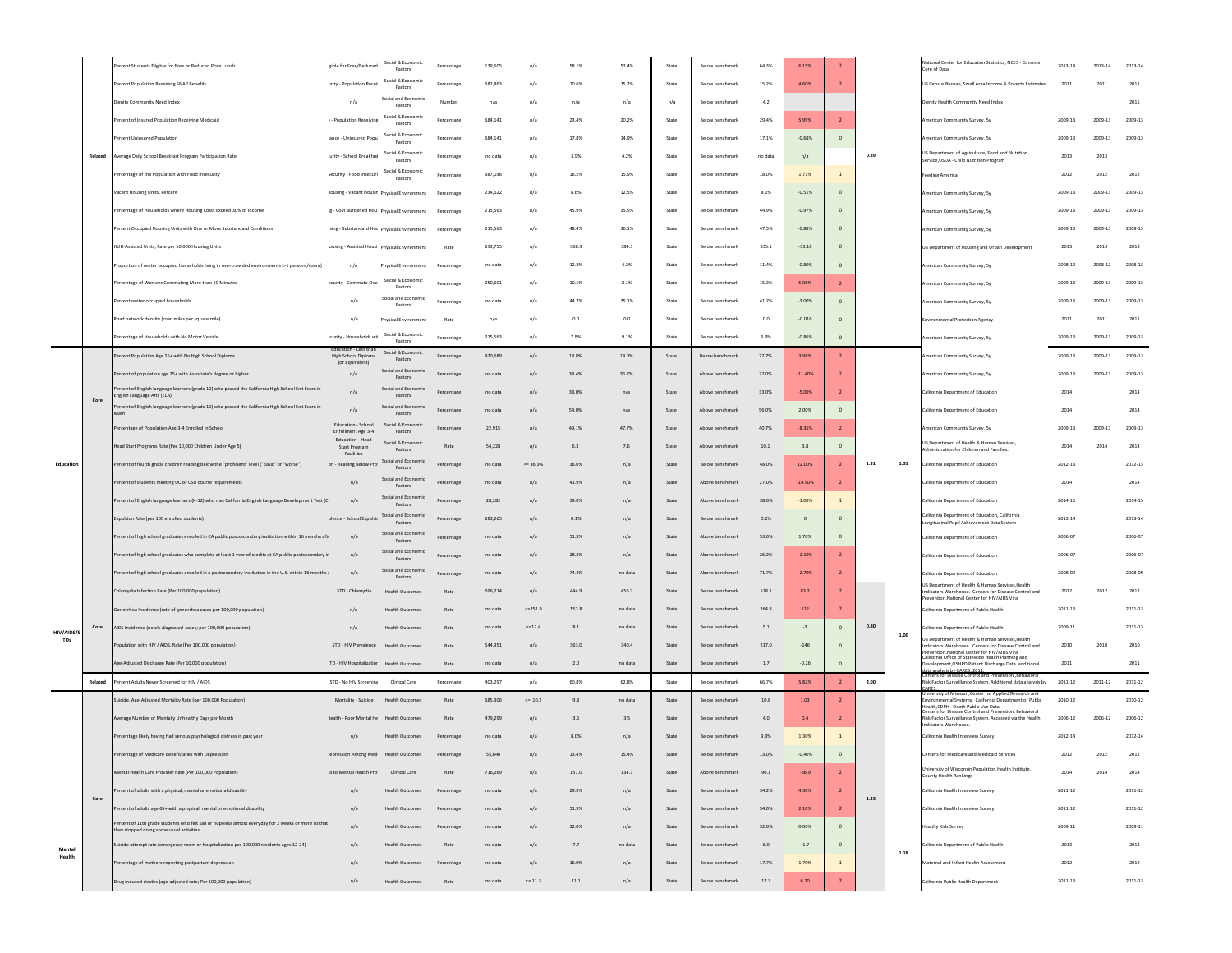|                          |         | ercent Students Eligible for Free or Reduced Price Lunch                                                                      | zible for Free/Reduced                                       | Social & Economic<br>Factors      | Percentage   | 139,605 | n/a        | 58.1% | 52.4%   | State                           | Below benchmark        | 64.3%   | 6.15%          |                |      |      | ational Center for Education Statistics, NCES - Common<br>ore of Data                                                                                   | 2013-14     | 2013-14     | 2013-14     |
|--------------------------|---------|-------------------------------------------------------------------------------------------------------------------------------|--------------------------------------------------------------|-----------------------------------|--------------|---------|------------|-------|---------|---------------------------------|------------------------|---------|----------------|----------------|------|------|---------------------------------------------------------------------------------------------------------------------------------------------------------|-------------|-------------|-------------|
|                          |         | ercent Population Receiving SNAP Benefits                                                                                     | ırity - Population Recei                                     | Social & Economic<br>Factors      | Percentage   | 682,863 | n/a        | 10.6% | 15.2%   | State                           | Below benchmark        | 15.2%   | 4.60%          |                |      |      | US Census Bureau, Small Area Income & Poverty Estimates                                                                                                 | 2011        | 2011        | 2011        |
|                          |         | Dignity Community Need Index                                                                                                  | n/a                                                          | Social and Economi<br>Factors     | Number       | n/a     | n/a        | n/a   | n/a     | n/a                             | Below benchmark        | 4.2     |                |                |      |      | Dignity Health Community Need Index                                                                                                                     |             |             | 2015        |
|                          |         | Percent of Insured Population Receiving Medicaid                                                                              | - Population Receiving                                       | Social & Economic<br>Factors      | Percentage   | 684,141 | n/a        | 23.4% | 20.2%   | State                           | Below benchmark        | 29.4%   | 5.99%          |                |      |      | American Community Survey, Sy                                                                                                                           | 2009-13     | 2009-13     | 2009-13     |
|                          |         | Percent Uninsured Population                                                                                                  | ance - Uninsured Popu                                        | Social & Economic                 | Percentage   | 684.141 | n/a        | 17.8% | 14.9%   | State                           | Below benchmark        | 17.1%   | $-0.68%$       | $\circ$        |      |      | American Community Survey, Sy                                                                                                                           | 2009-13     | 2009-13     | 2009-13     |
|                          | Related | werage Daily School Breakfast Program Participation Rate                                                                      | urity - School Breakfast                                     | Factors<br>Social & Economic      | Percentage   | no data | n/a        | 3.9%  | 4.2%    | State                           | Below benchmark        | no data | n/a            |                | 0.89 |      | US Department of Agriculture. Food and Nutrition                                                                                                        | 2013        | 2013        |             |
|                          |         |                                                                                                                               |                                                              | Factors<br>Social & Economi       |              |         |            |       |         |                                 |                        |         |                |                |      |      | Service, USDA - Child Nutrition Program                                                                                                                 |             |             |             |
|                          |         | ercentage of the Population with Food Insecurity                                                                              | iecurity - Food Insecuri                                     | Factors                           | Percentage   | 687,036 | n/a        | 16.2% | 15.9%   | State                           | Below benchmark        | 18.0%   | 1.71%          | $\,$ 1         |      |      | <b>Feeding America</b>                                                                                                                                  | 2012        | 2012        | 2012        |
|                          |         | acant Housing Units, Percent                                                                                                  | Iousing - Vacant Housir Physical Environment                 |                                   | Percentage   | 234,622 | n/a        | 8.6%  | 12.5%   | State                           | Below benchmark        | 8.1%    | $-0.51%$       | $\overline{0}$ |      |      | American Community Survey, Sy                                                                                                                           | 2009-13     | 2009-13     | 2009-13     |
|                          |         | ercentage of Households where Housing Costs Exceed 30% of Income                                                              | g - Cost Burdened Hou Physical Environment                   |                                   | Percentage   | 215,563 | n/a        | 45.9% | 35.5%   | State                           | Below benchmark        | 44.9%   | $-0.97%$       | $\overline{0}$ |      |      | American Community Survey, Sy                                                                                                                           | 2009-13     | 2009-13     | 2009-13     |
|                          |         | ercent Occupied Housing Units with One or More Substandard Conditions                                                         | sing - Substandard Hot Physical Environment                  |                                   | Percentage   | 215,563 | n/a        | 48.4% | 36.1%   | State                           | Below benchmark        | 47.5%   | $-0.88%$       | $\Omega$       |      |      | American Community Survey, Sy                                                                                                                           | 2009-13     | 2009-13     | 2009-13     |
|                          |         | HUD-Assisted Units, Rate per 10,000 Housing Units                                                                             | ousing - Assisted Housi Physical Environment                 |                                   | Rate         | 233,755 | n/a        | 368.3 | 384.3   | State                           | Below benchmark        | 335.1   | $-33.16$       | $\epsilon$     |      |      | US Department of Housing and Urban Development                                                                                                          | 2013        | 2013        | 2013        |
|                          |         | roportion of renter occupied households living in overcrowded environments (>1 persons/room)                                  | n/a                                                          | Physical Environment              | Percentage   | no data | n/a        | 12.2% | 4.2%    | State                           | Below benchmark        | 11.4%   | $-0.80%$       |                |      |      | American Community Survey, Sy                                                                                                                           | 2008-12     | $2008 - 12$ | 2008-12     |
|                          |         | ercentage of Workers Commuting More than 60 Minutes                                                                           | Fourity - Commute Ove                                        | Social & Economic<br>Factors      | Percentage   | 250,601 | n/a        | 10.1% | 8.1%    | State                           | Below benchmark        | 15.2%   | 5.06%          |                |      |      | Imerican Community Survey, Sy                                                                                                                           | 2009-13     | 2009-13     | 2009-13     |
|                          |         | ercent renter occupied households                                                                                             | n/a                                                          | Social and Economic<br>Factors    | Percentage   | no data | n/a        | 44.7% | 35.1%   | State                           | Below benchmark        | 41.7%   | $-3.00%$       | $\Omega$       |      |      | American Community Survey, Sy                                                                                                                           | 2009-13     | $2009 - 13$ | 2009-13     |
|                          |         | bad network density (road miles per square mile)                                                                              | n/a                                                          | Physical Environment              | Rate         | n/a     | n/a        | 0.0   | 0.0     | State                           | Below benchmark        | 0.0     | $-0.016$       | $\Omega$       |      |      | invironmental Protection Agency                                                                                                                         | 2011        | 2011        | 2011        |
|                          |         | ercentage of Households with No Motor Vehicle                                                                                 | curity - Households wi                                       | Social & Economic                 | Percentage   | 215,563 | n/a        | 7.8%  | 9.1%    | State                           | Below benchmark        | 6.9%    | $-0.86%$       | $\circ$        |      |      | nerican Community Survey, Sy                                                                                                                            | 2009-13     | 2009-13     | 2009-13     |
|                          |         | ercent Population Age 25+ with No High School Diploma                                                                         | lucation - Less thar<br><b>High School Diploma</b>           | Factors<br>Social & Economic      | Percentage   | 420.689 | n/a        | 18.8% | 14.0%   | State                           | Below benchmark        | 22.7%   | 3.98%          | $\overline{z}$ |      |      | nerican Community Survey, Sy                                                                                                                            | 2009-13     | 2009-13     | 2009-13     |
|                          |         | ercent of population age 25+ with Associate's degree or higher                                                                | for Faujvalent<br>n/a                                        | Factors<br>Social and Economic    | Percentage   | no data | n/a        | 38.4% | 36.7%   | State                           | Above benchmark        | 27.0%   | $-11.40%$      |                |      |      | Imerican Community Survey, Sy                                                                                                                           | 2009-13     | 2009-13     | 2009-13     |
|                          |         | rcent of English language learners (grade 10) who passed the California High School Exit Exam in                              |                                                              | Factors<br>Social and Economic    |              |         |            |       |         |                                 |                        |         |                |                |      |      |                                                                                                                                                         |             |             |             |
|                          | Core    | glish Language Arts (ELA)<br>rcent of English language learners (grade 10) who passed the California High School Exit Exam in | n/a                                                          | Factors<br>Social and Econ        | Percentage   | no data | n/a        | 38.0% | n/a     | State                           | Above benchmark        | 33.0%   | $-5.00%$       |                |      |      | California Department of Education                                                                                                                      | 2014        |             | 2014        |
|                          |         |                                                                                                                               | n/a                                                          | Factors                           | Percentage   | no data | n/a        | 54.0% | n/a     | State                           | Above benchmark        | 56.0%   | 2.00%          |                |      |      | California Department of Education                                                                                                                      | 2014        |             | 2014        |
|                          |         | ercentage of Population Age 3-4 Enrolled in School                                                                            | Education - School<br>Enrollment Age 3-4<br>Education - Head | Social & Economic<br>Factors      | Percentage   | 22,915  | n/a        | 49.1% | 47.7%   | State                           | Above benchmark        | 40.7%   | $-8.35%$       |                |      |      | American Community Survey, Sy                                                                                                                           | 2009-13     | 2009-13     | 2009-13     |
|                          |         | Head Start Programs Rate (Per 10,000 Children Under Age 5)                                                                    | Start Program<br>Facilities                                  | Social & Economic<br>Factors      | Rate         | 54,228  | n/a        | 6.3   | 7.6     | State                           | Above benchmark        | 10.1    | 3.8            | $\overline{0}$ |      |      | US Department of Health & Human Services.<br>ministration for Children and Families.                                                                    | 2014        | 2014        | 2014        |
| Education                |         | ercent of fourth grade children reading below the "proficient" level ("basic" or "worse")                                     | on - Reading Below Pro                                       | Social and Economic<br>Factors    | Percentage   | no data | $<= 36.3%$ | 36.0% | n/a     | State                           | Below benchmark        | 48.0%   | 12.00%         |                | 1.31 | 1.31 | California Department of Education                                                                                                                      | 2012-13     |             | 2012-13     |
|                          |         | ercent of students meeting UC or CSU course requirements                                                                      | n/a                                                          | Social and Econo<br>Factors       | Percentage   | no data | n/a        | 41.9% | n/a     | State                           | Above benchmark        | 27.0%   | $-14.90%$      |                |      |      | California Department of Education                                                                                                                      | 2014        |             | 2014        |
|                          |         | ercent of English language learners (K-12) who met California English Language Development Test (CI                           | n/a                                                          | Social and Economic<br>Factors    | Percentage   | 28,282  | n/i        | 39.0% | n/a     | State                           | Above benchmark        | 38,0%   | $-1.00%$       |                |      |      | California Department of Education                                                                                                                      | 2014-15     |             | 2014-15     |
|                          |         | xpulsion Rate (per 100 enrolled students)                                                                                     | vience - School Expulsio                                     | Social and Economic<br>Factors    | Percentage   | 283.265 | n/a        | 0.1%  | n/a     | State                           | Below benchmark        | 0.1%    | $\overline{0}$ | $\Omega$       |      |      | California Department of Education, California<br>Longitudinal Pupil Achievement Data System                                                            | 2013-14     |             | 2013-14     |
|                          |         | Percent of high school graduates enrolled in CA public postsecondary institution within 16 months afti                        | n/a                                                          | Social and Economic<br>Factors    | Percentage   | no data | n/a        | 51.3% | n/a     | State                           | Above benchmark        | 53.0%   | 1.70%          | $\Omega$       |      |      | California Department of Education                                                                                                                      | 2006-07     |             | 2006-07     |
|                          |         | ercent of high school graduates who complete at least 1 year of credits at CA public postsecondary in                         | n/a                                                          | Social and Econ<br>Factors        | Percentage   | no data | n/a        | 28.3% | n/a     | State                           | Above benchmark        | 26.2%   | $-2.10%$       |                |      |      | California Department of Education                                                                                                                      | 2006-07     |             | 2006-07     |
|                          |         | ercent of high school graduates enrolled in a postsecondary institution in the U.S. within 16 months a                        | n/a                                                          | Social and Economic               | Percentage   | no data | n/a        | 74.4% | no data | State                           | Above benchmark        | 71.7%   | $-2.70%$       |                |      |      | California Department of Education                                                                                                                      | 2008-09     |             | 2008-09     |
|                          |         | Chlamydia Infection Rate (Per 100,000 population)                                                                             | STD - Chlamydia                                              | Factors<br><b>Health Outcomes</b> | Rate         | 696.214 | n/a        | 444.9 | 456.7   | State                           | Below benchmark        | 528.1   | 83.2           |                |      |      | S Department of Health & Human Services,Healt<br>Indicators Warehouse. Centers for Disease Control and                                                  | 2012        | 2012        | 2012        |
|                          |         |                                                                                                                               |                                                              |                                   |              |         | $<=251.9$  | 152.8 |         | State                           |                        | 264.8   | 112            |                |      |      | evention National Center for HIV/AIDS Viral                                                                                                             | $2011 - 13$ |             | $2011 - 13$ |
|                          |         | onorrhea Incidence (rate of gonorrhea cases per 100,000 population)                                                           | n/a                                                          | <b>Health Outcomes</b>            | Rate         | no data |            |       | no data |                                 | Below benchmark        |         |                |                |      |      | California Department of Public Health                                                                                                                  |             |             |             |
| HIV/AIDS/S<br><b>TDs</b> | Core    | IDS Incidence (newly diagnosed cases; per 100,000 population)                                                                 | n/a                                                          | <b>Health Outcomes</b>            | Rate         | no data | $<=12.4$   | 8.1   | no data | State                           | Below benchmark        | 5.1     | $-3$           | $\epsilon$     | 0.80 | 1.00 | California Department of Public Health<br>US Department of Health & Human Services, Health                                                              | 2009-11     |             | 2011-13     |
|                          |         | pulation with HIV / AIDS, Rate (Per 100,000 population)                                                                       | STD - HIV Prevalence                                         | <b>Health Outcomes</b>            | Rate         | 544,951 | n/a        | 363.0 | 340.4   | State                           | Below benchmark        | 217.0   | $-146$         |                |      |      | ndicators Warehouse. Centers for Disease Control and<br>ention National Center for HIV/AIDS Viral<br>California Office of Statewide Health Planning and | 2010        | 2010        | 2010        |
|                          |         | ge-Adjusted Discharge Rate (Per 10,000 population)                                                                            | TD - HIV Hospitalizatior Health Outcomes                     |                                   | Rate         | no data | n/a        | 2.0   | no data | State                           | Below benchmark        | 1.7     | $-0.26$        | $\circ$        |      |      | Development, OSHPD Patient Discharge Data. additional<br>data analysis hy CARES 2011<br>nters for Disease Control and Prevention , Behaviora            | 2011        |             | 2011        |
|                          | Related | ercent Adults Never Screened for HIV / AIDS                                                                                   | STD - No HIV Screening                                       | Clinical Care                     | Percentage   | 403,297 | n/a        | 60.8% | 62.8%   | State                           | Below benchmark        | 66.7%   | 5.82%          | $\overline{2}$ | 2.00 |      | Risk Factor Surveillance System. Additional data analysis by<br>University of Missouri Center for Annlied Research and                                  | $2011 - 12$ | 2011-12     | $2011 - 12$ |
|                          |         | iicide. Age-Adjusted Mortality Rate (per 100.000 Population)                                                                  | Mortality - Suicide                                          | <b>Health Outcomes</b>            | Rate         | 685,306 | $<= 10.2$  | 9.8   | no data | State                           | Below benchmark        | 10.8    | 1.03           |                |      |      | Environmental Systems, California Department of Public<br>alth CDPH - Death Public Lise Data                                                            | 2010-12     |             | 2010-12     |
|                          |         | werage Number of Mentally Unhealthy Days per Month                                                                            | lealth - Poor Mental He                                      | <b>Health Outcomes</b>            | Rate         | 479,299 | n/a        | 3.6   | 3.5     | State                           | Below benchmark        | 4.0     | 0.4            |                |      |      | Centers for Disease Control and Prevention, Behavioral<br>Risk Factor Surveillance System. Accessed via the Health<br>licators Warehou                  | 2006-12     | 2006-12     | 2006-12     |
|                          |         | ercentage likely having had serious psychological distress in past year                                                       | n/a                                                          | <b>Health Outcomes</b>            | Percentage   | no data | n/a        | 8.0%  | n/a     | State                           | Below benchmark        | 9.3%    | 1.30%          | $\overline{1}$ |      |      | California Health Interview Survey                                                                                                                      | 2012-14     |             | 2012-14     |
|                          |         | Percentage of Medicare Beneficiaries with Depression                                                                          | epression Among Med Health Outcomes                          |                                   | Percentage   | 55,640  | n/a        | 13.4% | 15.4%   | State                           | Below benchmark        | 13.0%   | $-0.40%$       | $\circ$        |      |      | Centers for Medicare and Medicaid Services                                                                                                              | 2012        | 2012        | 2012        |
|                          |         | lental Health Care Provider Rate (Per 100,000 Population)                                                                     | s to Mental Health Pro Clinical Care                         |                                   | Rate         | 716,269 | n/a        | 157.0 | 134.1   | State                           | Above benchmark        | 90.1    | $-66.9$        | $\overline{2}$ |      |      | iversity of Wisconsin Population Health Institute,                                                                                                      | 2014        | 2014        | 2014        |
|                          |         | ercent of adults with a physical, mental or emotional disability                                                              | n/a                                                          | Health Outcomes                   | $Percentage$ | no data | n/a        | 29.9% | n/a     | $\operatorname{\mathsf{State}}$ | Below benchmark        | 34.2%   | 4.30%          |                |      |      | bunty Health Rankings<br>California Health Interview Survey                                                                                             | $2011 - 12$ |             | 2011-12     |
|                          | Core    | ercent of adults age 65+ with a physical, mental or emotional disability                                                      | n/a                                                          | <b>Health Outcomes</b>            | Percentage   | no data | n/a        | 51.9% | n/a     | State                           | Below benchmark        | 54.0%   | 2.10%          | $\overline{2}$ | 1.33 |      | California Health Interview Survey                                                                                                                      | $2011 - 12$ |             | 2011-12     |
|                          |         | ercent of 11th grade students who felt sad or hopeless almost everyday for 2 weeks or more so that                            |                                                              |                                   |              |         |            |       |         |                                 | <b>Below benchmark</b> |         |                |                |      |      |                                                                                                                                                         |             |             |             |
|                          |         | ey stopped doing some usual activities                                                                                        | n/a                                                          | <b>Health Outcomes</b>            | Percentage   | no data | n/a        | 32.0% | n/a     | State                           |                        | 32.0%   | 0.00%          | $\Omega$       |      |      | lealthy Kids Survey                                                                                                                                     | 2009-11     |             | 2009-11     |
| Mental<br>Health         |         | uicide attempt rate (emergency room or hospitalization per 100,000 residents ages 12-24)                                      | n/a                                                          | <b>Health Outcomes</b>            | Rate         | no data | n/a        | 7.7   | no data | State                           | Below benchmark        | 6.0     | $-1.7$         | $\Omega$       |      | 1.18 | California Department of Public Health                                                                                                                  | 2013        |             | 2013        |
|                          |         | ercentage of mothers reporting postpartum depression                                                                          | n/a                                                          | Health Outcomes                   | Percentage   | no data | n/a        | 16.0% | n/a     | $\operatorname{\mathsf{State}}$ | Below benchmark        | 17.7%   | 1.70%          |                |      |      | Maternal and Infant Health Assessment                                                                                                                   | 2012        |             | 2012        |
|                          |         | rug induced deaths (age-adjusted rate; Per 100,000 population)                                                                | n/a                                                          | <b>Health Outcomes</b>            | Rate         | no data | $<= 11.3$  | 11.1  | n/a     | State                           | Below benchmark        | 17.3    | 6.20           | $\overline{2}$ |      |      | California Public Health Department                                                                                                                     | $2011 - 13$ |             | $2011 - 13$ |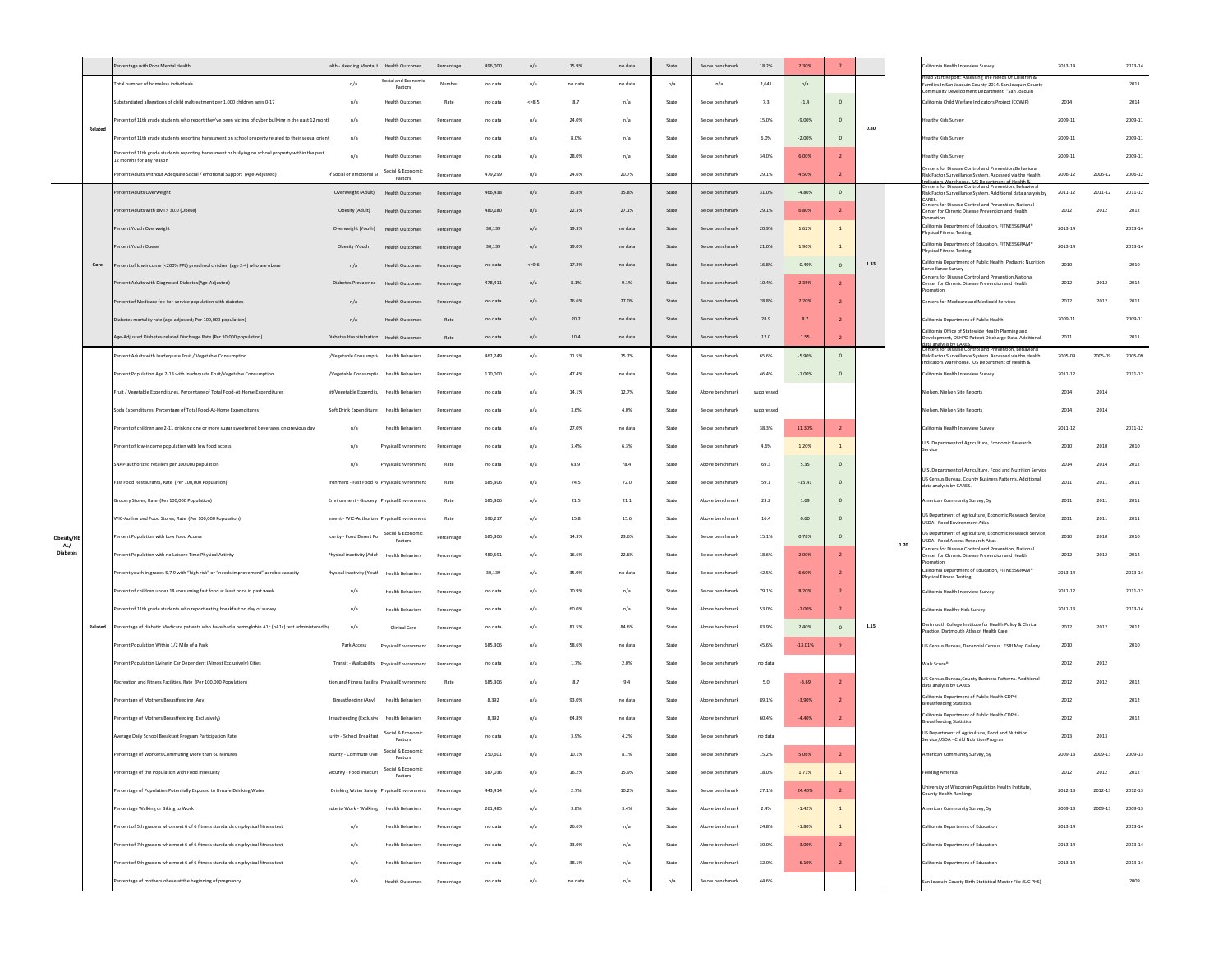|                        |         | centage with Poor Mental Health                                                                                               | alth - Needing Mental I Health Outcomes        |                                | Percentage | 496,000 | n/a       | 15.9%   | no data | State                           | Below benchmark        | 18.2%      | 2.30%              | $\overline{2}$ |      |      | ilifornia Health Interview Survey<br>ad Start Report: Assessing The Needs Of Children i                                                                     | 2013-14     |         | 2013-14     |
|------------------------|---------|-------------------------------------------------------------------------------------------------------------------------------|------------------------------------------------|--------------------------------|------------|---------|-----------|---------|---------|---------------------------------|------------------------|------------|--------------------|----------------|------|------|-------------------------------------------------------------------------------------------------------------------------------------------------------------|-------------|---------|-------------|
|                        |         | otal number of homeless individuals                                                                                           | n/a                                            | Social and Economic<br>Factors | Numbe      | no data | n/a       | no data | no data | n/a                             | n/a                    | 2.641      | n/a                |                |      |      | milies In San Joaquin County 2014. San Joaquin County<br>nmunity Development Department, "San Joaquin                                                       |             |         | 2011        |
|                        |         | ubstantiated allegations of child maltreatment per 1,000 children ages 0-17                                                   | n/a                                            | <b>Health Outcomes</b>         | Rate       | no data | $<=8.5$   | 8.7     | n/a     | State                           | Below benchmark        | 7.3        | $-1.4$             | $\Omega$       |      |      | California Child Welfare Indicators Project (CCWIP)                                                                                                         | 2014        |         | 2014        |
|                        | Related | ercent of 11th grade students who report they've been victims of cyber bullying in the past 12 month                          | n/a                                            | <b>Health Outcomes</b>         | Percentage | no data | n/a       | 24.0%   | n/a     | State                           | Below benchmark        | 15.0%      | $-9.00%$           |                | 0.80 |      | Healthy Kids Survey                                                                                                                                         | 2009-11     |         | 2009-1:     |
|                        |         | ercent of 11th grade students reporting harassment on school property related to their sexual orient                          | n/a                                            | <b>Health Outcomes</b>         | Percentage | no data | n/a       | 8.0%    | n/a     | State                           | Below benchmark        | 6.0%       | $-2.00%$           | $\mathbf{0}$   |      |      | lealthy Kids Survey                                                                                                                                         | 2009-11     |         | 2009-11     |
|                        |         | Percent of 11th grade students reporting harassment or bullying on school property within the past<br>2 months for any reason | n/a                                            | <b>Health Outcomes</b>         | Percentage | no data | n/a       | 28.0%   | n/a     | State                           | Below benchmark        | 34.0%      | 6.00%              | $\overline{z}$ |      |      | lealthy Kids Survey                                                                                                                                         | 2009-11     |         | 2009-11     |
|                        |         | ercent Adults Without Adequate Social / emotional Support (Age-Adjusted)                                                      | f Social or emotional Si                       | Social & Economic<br>Factors   | Percentage | 479,299 | n/a       | 24.6%   | 20.7%   | State                           | Below benchmark        | 29.1%      | 4.50%              | $\overline{2}$ |      |      | nters for Disease Control and Prevention, Behavioral<br>Risk Factor Surveillance System, Accessed via the Health<br>rs Warehouse LIS Denartment of Health & | 2006-12     | 2006-12 | 2006-12     |
|                        |         | ercent Adults Overweight                                                                                                      | Overweight (Adult)                             | <b>Health Outcomes</b>         | Percentage | 466,438 | n/a       | 35.8%   | 35.8%   | State                           | Below benchmark        | 31.0%      | $-4.80%$           | $\circ$        |      |      | Centers for Disease Control and Prevention, Beh-<br>Risk Factor Surveillance System. Additional data analysis by                                            | $2011 - 12$ | 2011-12 | 2011-12     |
|                        |         | ercent Adults with BMI > 30.0 (Obese)                                                                                         | Obesity (Adult)                                | Health Outcomes                | Percentage | 480,180 | n/3       | 22.3%   | 27.1%   | State                           | Below benchmark        | 29.1%      | 6.80%              | $\overline{2}$ |      |      | Centers for Disease Control and Prevention, National<br>Center for Chronic Disease Prevention and Health                                                    | 2012        | 2012    | 2012        |
|                        |         | Percent Youth Overweight                                                                                                      | Overweight (Youth)                             | <b>Health Outcomes</b>         | Percentage | 30.139  | n/a       | 19.3%   | no data | State                           | Below benchmark        | 20.9%      | 1.62%              |                |      |      | alifornia Department of Education, FITNESSGRAM®<br><b>Physical Fitness Testing</b>                                                                          | 2013-14     |         | 2013-14     |
|                        |         | Percent Youth Obese                                                                                                           | Obesity (Youth)                                | <b>Health Outcomes</b>         | Percentage | 30,139  | n/a       | 19.0%   | no data | State                           | Below benchmark        | 21.0%      | 1.96%              |                |      |      | California Department of Education, FITNESSGRAM*                                                                                                            | 2013-14     |         | 2013-14     |
|                        | Core    | ercent of low income (<200% FPL) preschool children (age 2-4) who are obese                                                   | n/a                                            | <b>Health Outcomes</b>         | Percentage | no data | $5 - 9.6$ | 17.2%   | no data | State                           | Below benchmark        | 16.8%      | $-0.40%$           | $\Omega$       | 1.33 |      | Physical Fitness Testing<br>alifornia Department of Public Health, Pediatric Nutrition                                                                      | 2010        |         | 2010        |
|                        |         | ercent Adults with Diagnosed Diabetes(Age-Adjusted)                                                                           | Diabetes Prevalence                            | <b>Health Outcomes</b>         | Percentage | 478,411 | n/a       | 8.1%    | 9.1%    | State                           | Below benchmark        | 10.4%      | 2.35%              |                |      |      | surveillance Survey<br>enters for Disease Control and Prevention, National<br>Center for Chronic Disease Prevention and Health                              | 2012        | 2012    | 2012        |
|                        |         |                                                                                                                               |                                                | <b>Health Outcomes</b>         |            | no data | n/a       | 26.6%   | 27.0%   | State                           | Below benchmark        | 28.8%      | 2.20%              |                |      |      |                                                                                                                                                             | 2012        | 2012    | 2012        |
|                        |         | ercent of Medicare fee-for-service population with diabetes                                                                   | n/a                                            |                                | Percentag  |         |           |         |         |                                 |                        |            |                    |                |      |      | Centers for Medicare and Medicaid Services                                                                                                                  |             |         |             |
|                        |         | liabetes mortality rate (age-adjusted; Per 100,000 population)                                                                | n/a                                            | <b>Health Outcomes</b>         | Rate       | no data | n/a       | 20.2    | no data | State                           | Below benchmark        | 28.9       | 8.7                |                |      |      | California Department of Public Health<br>California Office of Statewide Health Planning and                                                                | 2009-11     |         | 2009-11     |
|                        |         | ge-Adjusted Diabetes-related Discharge Rate (Per 10,000 population)                                                           | )iabetes Hospitalization                       | <b>Health Outcomes</b>         | Rate       | no data | n/a       | 10.4    | no data | $\operatorname{\mathsf{State}}$ | Below benchmark        | 12.0       | 1.55               | $\overline{2}$ |      |      | Development, OSHPD Patient Discharge Data. Additional<br>is hy CARES<br>Centers for Disease Control and Prevention, Behaviora                               | 2011        |         | 2011        |
|                        |         | ercent Adults with Inadequate Fruit / Vegetable Consumption                                                                   | /Vegetable Consumpti                           | <b>Health Behaviors</b>        | Percentage | 462,249 | n/a       | 71.5%   | 75.7%   | State                           | Below benchmark        | 65.6%      | $-5.90%$           | $\mathbf 0$    |      |      | Risk Factor Surveillance System. Accessed via the Health<br>icators Warehouse IS Denartment of Health &                                                     | 2005-09     | 2005-09 | 2005-09     |
|                        |         | rcent Population Age 2-13 with Inadequate Fruit/Vegetable Consumption                                                         | /Vegetable Consumptir                          | <b>Health Behaviors</b>        | Percentage | 110,000 | n/a       | 47.4%   | no data | State                           | Below benchmark        | 46.4%      | $\textbf{-1.00}\%$ | $\mathbf 0$    |      |      | alifornia Health Interview Survey                                                                                                                           | $2011 - 12$ |         | 2011-12     |
|                        |         | Fruit / Vegetable Expenditures, Percentage of Total Food-At-Home Expenditures                                                 | it/Vegetable Expendit: Health Behaviors        |                                | Percentage | no data | n/a       | 14.1%   | 12.7%   | State                           | Above benchmark        | suppressed |                    |                |      |      | Vielsen, Nielsen Site Reports                                                                                                                               | 2014        | 2014    |             |
|                        |         | Soda Expenditures, Percentage of Total Food-At-Home Expenditures                                                              | Soft Drink Expenditure                         | <b>Health Behaviors</b>        | Percentage | no data | n/a       | 3.6%    | 4.0%    | State                           | Below benchmark        | suppressed |                    |                |      |      | ielsen, Nielsen Site Reports                                                                                                                                | 2014        | 2014    |             |
|                        |         | ercent of children age 2-11 drinking one or more sugar sweetened beverages on previous day                                    | n/a                                            | <b>Health Behaviors</b>        | Percentage | no data | n/a       | 27.0%   | no data | State                           | Below benchmark        | 38.3%      | 11.30%             |                |      |      | California Health Interview Survey                                                                                                                          | $2011 - 12$ |         | $2011 - 12$ |
|                        |         | Percent of low-income population with low food access                                                                         | n/a                                            | Physical Environment           | Percentage | no data | n/i       | 3.4%    | 6.3%    | State                           | Below benchmark        | 4.6%       | 1.20%              |                |      |      | U.S. Department of Agriculture, Economic Research<br>iervice                                                                                                | 2010        | 2010    | 2010        |
|                        |         | SNAP-authorized retailers per 100,000 population                                                                              | n/a                                            | Physical Environment           | Rate       | no data | n/a       | 63.9    | 78.4    | State                           | Above benchmark        | 69.3       | 5.35               | $\mathbf{0}$   |      |      | U.S. Department of Agriculture, Food and Nutrition Service                                                                                                  | 2014        | 2014    | 2012        |
|                        |         | Fast Food Restaurants, Rate (Per 100,000 Population)                                                                          | ronment - Fast Food R Physical Environment     |                                | Rate       | 685,306 | n/a       | 74.5    | 72.0    | State                           | Below benchmark        | 59.1       | $-15.41$           | $\mathbf{0}$   |      |      | US Census Bureau, County Business Patterns. Additional<br>data analysis by CARES.                                                                           | 2011        | 2011    | 2011        |
|                        |         | Grocery Stores, Rate (Per 100,000 Population)                                                                                 | Invironment - Grocery Physical Environment     |                                | Rate       | 685,306 | n/a       | 21.5    | 21.1    | State                           | Above benchmark        | 23.2       | 1.69               | $\circ$        |      |      | American Community Survey, Sy                                                                                                                               | 2011        | 2011    | 2011        |
|                        |         | WIC-Authorized Food Stores, Rate (Per 100,000 Population)                                                                     | ment - WIC-Authorizer Physical Environment     |                                | Rate       | 696,217 | n/a       | 15.8    | 15.6    | State                           | Above benchmark        | 16.4       | 0.60               |                |      |      | US Department of Agriculture, Economic Research Service,<br>USDA - Food Environment Atlas                                                                   | 2011        | 2011    | 2011        |
| Obesity/HB             |         | Percent Population with Low Food Access                                                                                       | curity - Food Desert Pc                        | Social & Economic              | Percentage | 685.306 | n/a       | 14.3%   | 23.6%   | State                           | Below benchmark        | 15.1%      | 0.78%              | $\Omega$       |      |      | US Department of Agriculture, Economic Research Service,                                                                                                    | 2010        | 2010    | 2010        |
| AL/<br><b>Diabetes</b> |         | Percent Population with no Leisure Time Physical Activity                                                                     | 'hysical inactivity (Adul Health Behaviors     | Factors                        | Percentage | 480,591 | n/a       | 16.6%   | 22.6%   | State                           | Below benchmark        | 18.6%      | 2.00%              | $\overline{2}$ |      | 1.20 | JSDA - Food Access Research Atlas<br>enters for Disease Control and Prevention, National<br>enter for Chronic Disease Prevention and Health                 | 2012        | 2012    | 2012        |
|                        |         | Percent youth in grades 5,7,9 with "high risk" or "needs improvement" aerobic capacity                                        | frysical inactivity (Youti                     | <b>Health Behaviors</b>        | Percentage | 30,139  | n/a       | 35.9%   | no data | State                           | Below benchmark        | 42.5%      | 6.60%              |                |      |      | lifornia Department of Education, FITNESSGRAM®                                                                                                              | 2013-14     |         | $2013 - 1$  |
|                        |         | rercent of children under 18 consuming fast food at least once in past week                                                   | n/a                                            | <b>Health Behaviors</b>        | Percentage | no data | n/a       | 70.9%   | n/a     | State                           | Below benchmark        | 79.1%      | 8.20%              |                |      |      | Physical Fitness Testing<br>California Health Interview Survey                                                                                              | $2011 - 12$ |         | 2011-12     |
|                        |         | ercent of 11th grade students who report eating breakfast on day of survey                                                    | n/a                                            | <b>Health Behaviors</b>        |            | no data | n/a       | 60.0%   | n/a     | State                           | Above benchmark        | 53.0%      | $-7.00%$           |                |      |      |                                                                                                                                                             | $2011 - 13$ |         | 2013-14     |
|                        |         |                                                                                                                               |                                                |                                | Percentage |         |           |         |         |                                 |                        |            |                    |                | 1.15 |      | California Healthy Kids Survey<br>artmouth College Institute for Health Policy & Clinical                                                                   |             |         |             |
|                        | Related | ercentage of diabetic Medicare patients who have had a hemoglobin A1c (hA1c) test administered by                             | n/a                                            | Clinical Care                  | Percentage | no data | n/a       | 81.5%   | 84.6%   | State                           | Above benchmark        | 83.9%      | 2.40%              |                |      |      | Practice, Dartmouth Atlas of Health Care                                                                                                                    | 2012        | 2012    | 2012        |
|                        |         | ercent Population Within 1/2 Mile of a Park                                                                                   | Park Access                                    | Physical Environment           | Percentage | 685,306 | n/a       | 58.6%   | no data | State                           | Above benchmark        | 45.6%      | $-13.01%$          | $\overline{2}$ |      |      | US Census Bureau, Decennial Census. ESRI Map Gallery                                                                                                        | 2010        |         | 2010        |
|                        |         | rcent Population Living in Car Dependent (Almost Exclusively) Cities                                                          |                                                |                                | Percentage | no data | n/a       | 1.7%    | 2.0%    | State                           | Below benchmark        | no data    |                    |                |      |      | Valk Score*                                                                                                                                                 | 2012        | 2012    |             |
|                        |         | tecreation and Fitness Facilities, Rate (Per 100,000 Population)                                                              | tion and Fitness Facility Physical Environment |                                | Rate       | 685.306 | n/a       | 8.7     | 9.4     | State                           | Above benchmark        | 5.0        | $-3.69$            | $\overline{z}$ |      |      | US Census Bureau, County Business Patterns. Additional<br>data analysis by CARES                                                                            | 2012        | 2012    | 2012        |
|                        |         | Percentage of Mothers Breastfeeding (Any)                                                                                     | Breastfeeding (Any)                            | <b>Health Behaviors</b>        | Percentage | 8.392   | n/a       | 93.0%   | no data | State                           | Above benchmark        | 89.1%      | $-3.90%$           |                |      |      | California Department of Public Health, CDPH -<br><b>Breastfeeding Statistics</b>                                                                           | 2012        |         | 2012        |
|                        |         | Percentage of Mothers Breastfeeding (Exclusively)                                                                             | Ireastfeeding (Exclusive Health Behaviors      |                                | Percentage | 8,392   | n/a       | 64.8%   | no data | State                           | Above benchmark        | 60.4%      | $-4.40%$           |                |      |      | California Department of Public Health, CDPH<br><b>Breastfeeding Statistics</b>                                                                             | 2012        |         | 2012        |
|                        |         | Average Daily School Breakfast Program Participation Rate                                                                     | urity - School Breakfas                        | Social & Economic<br>Factors   | Percentage | no data | n/a       | 3.9%    | 4.2%    | State                           | Below benchmark        | no data    |                    |                |      |      | US Department of Agriculture, Food and Nutrition<br>Service USDA - Child Nutrition Program                                                                  | 2013        | 2013    |             |
|                        |         | ercentage of Workers Commuting More than 60 Minutes                                                                           | ecurity - Commute Ove                          | Social & Economic<br>Factors   | Percentage | 250,601 | n/a       | 10.1%   | 8.1%    | State                           | Below benchmark        | 15.2%      | 5.06%              |                |      |      | merican Community Survey, Sy                                                                                                                                | 2009-13     | 2009-13 | 2009-13     |
|                        |         | Percentage of the Population with Food Insecurity                                                                             | iecurity - Food Insecuri                       | Social & Economic<br>Factors   | Percentage | 687.036 | n/a       | 16.2%   | 15.9%   | State                           | <b>Below benchmark</b> | 18.0%      | 1.71%              | $\mathbf{1}$   |      |      | eeding America                                                                                                                                              | 2012        | 2012    | 2012        |
|                        |         | ercentage of Population Potentially Exposed to Unsafe Drinking Water                                                          | Drinking Water Safety Physical Environment     |                                | Percentage | 443,414 | n/a       | 2.7%    | 10.2%   | State                           | Below benchmark        | 27.1%      | 24.40%             | $\overline{2}$ |      |      | Jniversity of Wisconsin Population Health Institute,<br>unty Health Rankings                                                                                | 2012-13     | 2012-13 | 2012-13     |
|                        |         | ercentage Walking or Biking to Work                                                                                           | rute to Work - Walking. Health Behaviors       |                                | Percentage | 261,485 | n/a       | 3.8%    | 3.4%    | State                           | Above benchmark        | 2.4%       | $-1.42%$           | $\,$ 1 $\,$    |      |      | merican Community Survey, Sy                                                                                                                                | 2009-13     | 2009-13 | 2009-13     |
|                        |         | ercent of 5th graders who meet 6 of 6 fitness standards on physical fitness test                                              | n/a                                            | <b>Health Behaviors</b>        | Percentage | no data | n/a       | 26.6%   | n/a     | State                           | Above benchmark        | 24.8%      | $-1.80%$           |                |      |      | alifornia Department of Education                                                                                                                           | 2013-14     |         | 2013-14     |
|                        |         | ercent of 7th graders who meet 6 of 6 fitness standards on physical fitness test                                              | n/a                                            | <b>Health Behaviors</b>        | Percentage | no data | n/a       | 33.0%   | n/a     | State                           | Above benchmark        | 30.0%      | $-3.00%$           | $\overline{2}$ |      |      | alifornia Department of Education                                                                                                                           | 2013-14     |         | 2013-14     |
|                        |         | ercent of 9th graders who meet 6 of 6 fitness standards on physical fitness test                                              | n/a                                            | <b>Health Behaviors</b>        | Percentage | no data | n/a       | 38.1%   | n/a     | State                           | Above benchmark        | 32.0%      | $-6.10%$           |                |      |      | alifornia Department of Education                                                                                                                           | 2013-14     |         | 2013-14     |
|                        |         | ercentage of mothers obese at the beginning of pregnancy                                                                      |                                                |                                |            |         |           |         |         |                                 |                        | 44.6%      |                    |                |      |      | an Joaquin County Birth Statistical Master File (SJC PHS)                                                                                                   |             |         | 2009        |
|                        |         |                                                                                                                               | n/a                                            | <b>Health Outcomes</b>         | Percentage | no data | n/a       | no data | n/a     | n/a                             | Below benchmark        |            |                    |                |      |      |                                                                                                                                                             |             |         |             |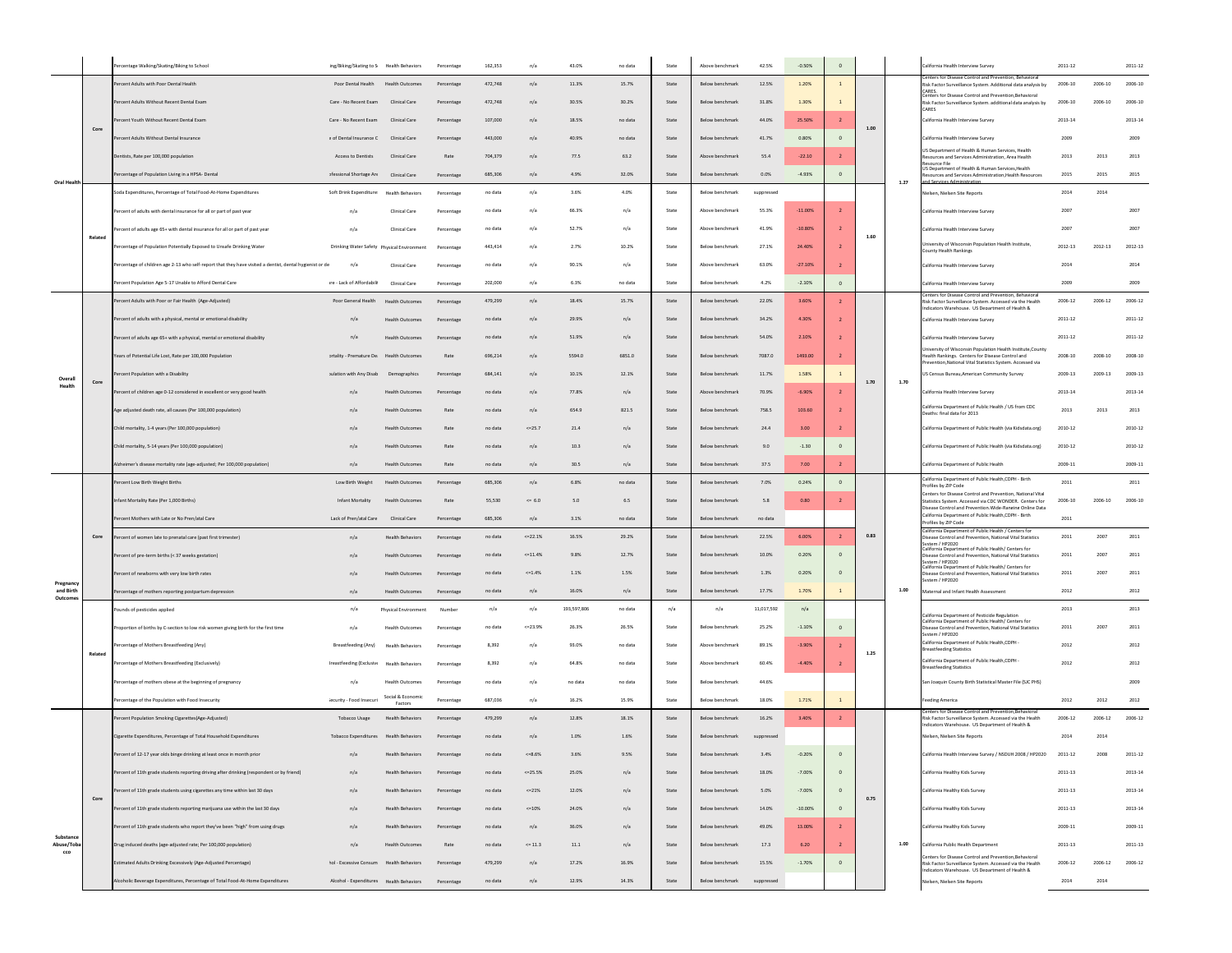|                        |         | centage Walking/Skating/Biking to School                                                                | ing/Biking/Skating to S Health Behaviors   |                             | Percentage | 162,353 | $\mathsf{n}/\mathsf{a}$ | 43.0%       | no data | State                           | Above benchmark | 42.5%      | $-0.50%$   | $\,$ 0 $\,$    |      |      | alifornia Health Interview Survey                                                                                                                                 | 2011-12     |         | 2011-12     |
|------------------------|---------|---------------------------------------------------------------------------------------------------------|--------------------------------------------|-----------------------------|------------|---------|-------------------------|-------------|---------|---------------------------------|-----------------|------------|------------|----------------|------|------|-------------------------------------------------------------------------------------------------------------------------------------------------------------------|-------------|---------|-------------|
|                        |         | ercent Adults with Poor Dental Health                                                                   | Poor Dental Health                         | Health Outcome:             | Percentage | 472,748 | n/a                     | 11.3%       | 15.7%   | State                           | Below benchmark | 12.5%      | 1.20%      | $\overline{1}$ |      |      | isk Factor Surveillance System. Additional data analysis by                                                                                                       | 2006-10     | 2006-10 | 2006-10     |
|                        |         | ercent Adults Without Recent Dental Exam                                                                | Care - No Recent Exam                      | Clinical Care               | Percentage | 472,748 | n/a                     | 30.5%       | 30.2%   | State                           | Below benchmark | 31.8%      | 1.30%      | $\mathbf{1}$   |      |      | ARES.<br>nters for Disease Control and Prevention Rebavioral<br>lisk Factor Surveillance System. additional data analysis by                                      | 2006-10     | 2006-10 | 2006-10     |
|                        |         | cent Youth Without Recent Dental Exam                                                                   | Care - No Recent Exam                      | Clinical Care               |            | 107,000 | n/a                     | 18.5%       | no data | State                           | Below benchmark | 44.0%      | 25.50%     |                |      |      | <b>CARES</b><br>California Health Interview Survey                                                                                                                | 2013-14     |         | 2013-14     |
|                        | Core    | cent Adults Without Dental Insurance                                                                    |                                            |                             | Percentage |         |                         | 40.9%       |         | State                           | Below benchmark |            | 0.80%      | $\Omega$       | 1.00 |      |                                                                                                                                                                   | 2009        |         | 2009        |
|                        |         |                                                                                                         | e of Dental Insurance C                    | Clinical Care               | Percentage | 443,000 | n/a                     |             | no data |                                 |                 | 41.7%      |            |                |      |      | California Health Interview Survey<br>US Department of Health & Human Services, Health                                                                            |             |         |             |
|                        |         | Dentists, Rate per 100,000 population                                                                   | <b>Access to Dentists</b>                  | Clinical Care               | Rate       | 704.379 | n/a                     | 77.5        | 63.2    | State                           | Above benchmark | 55.4       | $-22.10$   |                |      |      | sources and Services Administration, Area Health<br>ource File<br>JS Department of Health & Human Services, Health                                                | 2013        | 2013    | 2013        |
| Oral Health            |         | ercentage of Population Living in a HPSA- Dental                                                        | ofessional Shortage Are                    | Clinical Care               | Percentage | 685,306 | n/a                     | 4.9%        | 32.0%   | State                           | Below benchmark | 0.0%       | $-4.93%$   | $\mathbf{0}$   |      | 1.27 | sources and Services Administration.Health Resources<br>d Services Adr                                                                                            | 2015        | 2015    | 2015        |
|                        |         | Soda Expenditures, Percentage of Total Food-At-Home Expenditures                                        | Soft Drink Expenditure Health Behaviors    |                             | Percentage | no data | n/a                     | 3.6%        | 4.0%    | State                           | Below benchmark | suppressed |            |                |      |      | ielsen, Nielsen Site Reports                                                                                                                                      | 2014        | 2014    |             |
|                        |         | rcent of adults with dental insurance for all or part of past year                                      | n/a                                        | Clinical Care               | Percentage | no data | n/a                     | 66.3%       | n/a     | State                           | Above benchmari | 55.3%      | $-11.00\%$ |                |      |      | California Health Interview Survey                                                                                                                                | 2007        |         | 2007        |
|                        | Related | ent of adults age 65+ with dental insurance for all or part of past year                                | n/a                                        | Clinical Care               | Percentage | no data | n/a                     | 52.7%       | n/a     | State                           | Above benchmark | 41.9%      | $-10.80%$  |                | 1.60 |      | California Health Interview Survey                                                                                                                                | 2007        |         | 2007        |
|                        |         | ercentage of Population Potentially Exposed to Unsafe Drinking Water                                    | Drinking Water Safety Physical Environment |                             | Percentage | 443,414 | n/a                     | 2.7%        | 10.2%   | State                           | Below benchmark | 27.1%      | 24.40%     |                |      |      | niversity of Wisconsin Population Health Institute,<br>ounty Health Rankings                                                                                      | 2012-13     | 2012-13 | 2012-13     |
|                        |         | ercentage of children age 2-13 who self-report that they have visited a dentist, dental hygienist or de | n/a                                        | Clinical Care               | Percentage | no data | n/a                     | 90.1%       | n/a     | State                           | Above benchmari | 63.0%      | $-27.10%$  |                |      |      | California Health Interview Survey                                                                                                                                | 2014        |         | 2014        |
|                        |         | ercent Population Age 5-17 Unable to Afford Dental Care                                                 | ıre - Lack of Affordabili                  | Clinical Care               | Percentage | 202,000 | n/a                     | 6.3%        | no data | State                           | Below benchmark | 4.2%       | $-2.10%$   |                |      |      | California Health Interview Survey                                                                                                                                | 2009        |         | 2009        |
|                        |         | ercent Adults with Poor or Fair Health (Age-Adjusted)                                                   | Poor General Health                        | <b>Health Outcome</b>       | Percentage | 479.299 | n/a                     | 18.4%       | 15.7%   | State                           | Below benchmark | 22.0%      | 3.60%      |                |      |      | nters for Disease Control and Prevention, Behaviora<br>Risk Factor Surveillance System. Accessed via the Health<br>dicators Warehouse LIS Department of Health &  | 2006-12     | 2006-12 | 2006-12     |
|                        |         | Percent of adults with a physical, mental or emotional disability                                       | n/a                                        | <b>Health Outcomes</b>      | Percentage | no data | n/a                     | 29.9%       | n/a     | State                           | Below benchmark | 34.2%      | 4.30%      |                |      |      | California Health Interview Survey                                                                                                                                | $2011 - 12$ |         | $2011 - 12$ |
|                        |         | Percent of adults age 65+ with a physical, mental or emotional disability                               | n/a                                        | Health Outcomes             | Percentage | no data | n/a                     | 51.9%       | n/a     | State                           | Below benchmark | 54.0%      | 2.10%      |                |      |      | California Health Interview Survey                                                                                                                                | 2011-12     |         | $2011 - 12$ |
|                        |         | rears of Potential Life Lost, Rate per 100,000 Population                                               | ortality - Premature De                    | Health Outcome:             | Rate       | 696,214 | n/a                     | 5594.0      | 6851.0  | State                           | Below benchmark | 7087.0     | 1493.00    |                |      |      | iversity of Wisconsin Population Health Institute, County<br>ealth Rankings. Centers for Disease Control and<br>onal Vital Statistics System Acc                  | 2008-10     | 2008-10 | 2008-10     |
| Overall                |         | rcent Population with a Disability                                                                      | sulation with Any Disab                    | Demographics                | Percentage | 684,141 | n/a                     | 10.1%       | 12.1%   | State                           | Below benchmark | 11.7%      | 1.58%      |                |      |      | JS Census Bureau, American Community Survey                                                                                                                       | 2009-13     | 2009-13 | 2009-13     |
| Health                 | Core    | ercent of children age 0-12 considered in excellent or very good health                                 | n/a                                        | <b>Health Outcome:</b>      | Percentage | no data | n/a                     | 77.8%       | n/a     | State                           | Above benchmark | 70.9%      | $-6.90%$   | $\overline{z}$ | 1.70 | 1.70 | California Health Interview Survey                                                                                                                                | 2013-14     |         | 2013-14     |
|                        |         | Age adjusted death rate, all causes (Per 100,000 population)                                            | n/a                                        | Health Outcome:             | Rate       | no data | n/a                     | 654.9       | 821.5   | State                           | Below benchmark | 758.5      | 103.60     |                |      |      | California Department of Public Health / US from CDC<br>Deaths: final data for 2013                                                                               | 2013        | 2013    | 2013        |
|                        |         | Child mortality, 1-4 years (Per 100,000 population)                                                     | n/a                                        | <b>Health Outcome:</b>      |            | no data | $<=25.7$                | 21.4        | n/a     | State                           | Below benchmark | 24.4       | 3.00       |                |      |      | California Department of Public Health (via Kidsdata.org)                                                                                                         | 2010-12     |         | 2010-12     |
|                        |         | Child mortality, 5-14 years (Per 100,000 population)                                                    | n/a                                        | <b>Health Outcome</b>       | Rate       | no data | n/a                     | 10.3        | n/a     | State                           | Below benchmark | 9.0        | $-1.30$    | $\Omega$       |      |      | California Department of Public Health (via Kidsdata.org)                                                                                                         | 2010-12     |         | 2010-12     |
|                        |         | Nzheimer's disease mortality rate (age-adjusted; Per 100,000 population)                                | n/a                                        | <b>Health Outcomes</b>      | Rate       | no data | n/a                     | 30.5        | n/a     | State                           | Below benchmark | 37.5       | 7.00       | $\overline{ }$ |      |      | alifornia Denartment of Public Health                                                                                                                             | 2009-11     |         | 2009-11     |
|                        |         | ercent Low Birth Weight Births                                                                          | Low Birth Weight                           | <b>Health Outcomes</b>      | Percentage | 685,306 | n/a                     | 6.8%        | no data | State                           | Below benchmark | 7.0%       | 0.24%      | $\circ$        |      |      | California Department of Public Health, CDPH - Birth<br>ofiles by ZIP Code                                                                                        | 2011        |         | 2011        |
|                        |         | ifant Mortality Rate (Per 1,000 Births)                                                                 | Infant Mortality                           | Health Outcome:             | Rate       | 55,530  | $= 6.0$                 | 5.0         | 6.5     | State                           | Below benchmark | 5.8        | 0.80       | $\overline{2}$ |      |      | lenters for Disease Control and Prevention, National Vital<br>Statistics System. Accessed via CDC WONDER. Centers for                                             | 2006-10     | 2006-10 | 2006-10     |
|                        |         | ent Mothers with Late or No Pren/atal Care                                                              | Lack of Pren/atal Care                     | Clinical Care               | Percentage | 685,306 | n/a                     | 3.1%        | no data | State                           | Below benchmark | no data    |            |                |      |      | Disease Control and Prevention. Wide-Ranging Online Data<br>California Department of Public Health.CDPH - Birth<br>rofiles by ZIP Code                            | 2011        |         |             |
|                        | Core    | cent of women late to prenatal care (past first trimester)                                              | n/a                                        | <b>Health Behaviors</b>     | Percentage | no data | $<=22.1%$               | 16.5%       | 29.2%   | State                           | Below benchmark | 22.5%      | 6.00%      | $\overline{z}$ | 0.83 |      | difornia Department of Public Health / Centers fo<br>isease Control and Prevention, National Vital Statistics                                                     | 2011        | 2007    | 2011        |
|                        |         | ercent of pre-term births (< 37 weeks gestation)                                                        | n/a                                        | <b>Health Outcomes</b>      | Percentage | no data | $<=11.4%$               | 9.8%        | 12.7%   | State                           | Below benchmark | 10.0%      | 0.20%      | $\Omega$       |      |      | stem / HP2020<br>alifornia Department of Public Health/ Centers for<br>Disease Control and Prevention, National Vital Statistics                                  | 2011        | 2007    | 2011        |
|                        |         | ercent of newborns with very low birth rates                                                            | n/a                                        | <b>Health Outcomes</b>      | Percentage | no data | 41.4%                   | 1.1%        | 1.5%    | State                           | Below benchmark | 1.3%       | 0.20%      |                |      |      | stem / HP2020<br>alifornia Department of Public Health/ Centers for<br>Disease Control and Prevention, National Vital Statistics                                  | 2011        | 2007    | 2011        |
| Pregnancy<br>and Birth |         | ercentage of mothers reporting postpartum depression                                                    | n/a                                        | <b>Health Outcomes</b>      | Percentage | no data | n/a                     | 16.0%       | n/a     | State                           | Below benchmark | 17.7%      | 1.70%      |                |      | 1.00 | tem / HP2020<br>Aaternal and Infant Health Assessment                                                                                                             | 2012        |         | 2012        |
| Outcome                |         | ounds of pesticides applied                                                                             | n/a                                        | Physical Environment        | Number     | n/a     | n/a                     | 193,597,806 | no data | n/a                             | n/a             | 11.017.592 | n/a        |                |      |      |                                                                                                                                                                   | 2013        |         | 2013        |
|                        |         | oportion of births by C-section to low risk women giving birth for the first time                       | n/a                                        | <b>Health Outcomes</b>      | Percentage | no data | $<=23.9%$               | 26.3%       | 26.5%   | State                           | Below benchmark | 25.2%      | $-1.10%$   | $\circ$        |      |      | California Department of Pesticide Regulation<br>California Department of Public Health/ Centers for<br>Disease Control and Prevention, National Vital Statistics | 2011        | 2007    | 2011        |
|                        |         | rcentage of Mothers Breastfeeding (Any)                                                                 | Breastfeeding (Any)                        | <b>Health Behaviors</b>     | Percentage | 8,392   | n/a                     | 93.0%       | no data | State                           | Above benchmark | 89.1%      | $-3.90%$   |                |      |      | stem / HP2020<br>California Department of Public Health, CDPH                                                                                                     | 2012        |         | 2012        |
|                        | Related | centage of Mothers Breastfeeding (Exclusively)                                                          | Ireastfeeding (Exclusive                   | <b>Health Behaviors</b>     | Percentage | 8,392   | n/a                     | 64.8%       | no data | State                           | Above benchmark | 60.4%      | $-4.40%$   | $\overline{2}$ | 1.25 |      | eastfeeding Statistics<br>California Denartment of Public Health CDPH                                                                                             | 2012        |         | 2012        |
|                        |         | ercentage of mothers obese at the beginning of pregnancy                                                | n/a                                        | <b>Health Outcome:</b>      | Percentage | no data | n/a                     | no data     | no data | State                           | Below benchmark | 44.6%      |            |                |      |      | <b>Breastfeeding Statistics</b><br>San Joaquin County Birth Statistical Master File (SJC PHS)                                                                     |             |         | 2009        |
|                        |         | ercentage of the Population with Food Insecurity                                                        | iecurity - Food Insecuri                   | Social & Economic           | Percentage | 687.036 | n/a                     | 16.2%       | 15.9%   | State                           | Below benchmark | 18.0%      | 1.71%      | $\mathbf{1}$   |      |      | eeding America                                                                                                                                                    | 2012        | 2012    | 2012        |
|                        |         | Percent Population Smoking Cigarettes(Age-Adjusted)                                                     | <b>Tobacco Usage</b>                       | Factors<br>Health Behaviors | Percentage | 479,299 | n/a                     | 12.8%       | 18.1%   | State                           | Below benchmark | 16.2%      | 3.40%      | $\overline{2}$ |      |      | nters for Disease Control and Prevention Rebavioral<br>Risk Factor Surveillance System, Accessed via the Health                                                   | 2006-12     | 2006-12 | 2006-12     |
|                        |         | Cigarette Expenditures, Percentage of Total Household Expenditures                                      | Tobacco Expenditures Health Behaviors      |                             | Percentage | no data | n/a                     | 1.0%        | 1.6%    | State                           | Below benchmark | suppressed |            |                |      |      | dicators Warehouse IS Denartment of Health &<br>Nielsen, Nielsen Site Reports                                                                                     | 2014        | 2014    |             |
|                        |         | cent of 12-17 year olds binge drinking at least once in month prior                                     | n/a                                        | <b>Health Behaviors</b>     | Percentage | no data | $<=8.6%$                | 3.6%        | 9.5%    | State                           | Below benchmark | 3.4%       | $-0.20%$   | $\Omega$       |      |      | alifornia Health Interview Survey / NSDUH 2008 / HP2020                                                                                                           | 2011-12     | 2008    | 2011-12     |
|                        |         | rcent of 11th grade students reporting driving after drinking (respondent or by friend)                 | n/a                                        | Health Behaviors            | Percentage | no data | $<=25.5%$               | 25.0%       | n/a     | State                           | Below benchmark | 18.0%      | $-7.00%$   | $\Omega$       |      |      | California Healthy Kids Survey                                                                                                                                    | 2011-13     |         | 2013-14     |
|                        |         | rcent of 11th grade students using cigarettes any time within last 30 days                              | n/a                                        | Health Behaviors            | Percentage | no data | $<=21\%$                | 12.0%       | n/a     | State                           | Below benchmark | 5.0%       | $-7.00%$   | $\mathbf{0}$   |      |      | California Healthy Kids Survey                                                                                                                                    | $2011 - 13$ |         | 2013-14     |
|                        | Core    |                                                                                                         |                                            |                             |            |         |                         |             |         |                                 |                 |            |            |                | 0.75 |      |                                                                                                                                                                   |             |         |             |
|                        |         | rcent of 11th grade students reporting marijuana use within the last 30 days                            | n/a                                        | <b>Health Behaviors</b>     | Percentage | no data | $<=10%$                 | 24.0%       | n/a     | $\operatorname{\mathsf{State}}$ | Below benchmark | 14.0%      | $-10.00%$  | $\,$ 0 $\,$    |      |      | California Healthy Kids Survey                                                                                                                                    | $2011 - 13$ |         | 2013-14     |
| Substance              |         | cent of 11th grade students who report they've been "high" from using drugs                             | n/a                                        | <b>Health Behaviors</b>     | Percentage | no data | n/a                     | 36.0%       | n/a     | State                           | Below benchmark | 49.0%      | 13.00%     |                |      |      | alifornia Healthy Kids Survey                                                                                                                                     | $2009 - 11$ |         | 2009-11     |
| Abuse/Toba<br>cco      |         | Orug induced deaths (age-adjusted rate; Per 100,000 population)                                         | n/a                                        | <b>Health Outcome</b>       | Rate       | no data | $<= 11.3$               | 11.1        | n/a     | State                           | Below benchmark | 17.3       | 6.20       |                |      | 1.00 | alifornia Public Health Department<br>enters for Disease Control and Prevention.Behavioral                                                                        | 2011-13     |         | $2011 - 13$ |
|                        |         | Estimated Adults Drinking Excessively (Age-Adjusted Percentage)                                         | hol - Excessive Consum Health Behaviors    |                             | Percentage | 479,299 | n/a                     | 17.2%       | 16.9%   | State                           | Below benchmark | 15.5%      | $-1.70%$   | $\overline{0}$ |      |      | lisk Factor Surveillance System, Accessed via the Health<br>dicators Warehouse. US Department of Health &                                                         | 2006-12     | 2006-12 | 2006-12     |
|                        |         | Icoholic Beverage Expenditures, Percentage of Total Food-At-Home Expenditures                           | Alcohol - Expenditures Health Behaviors    |                             | Percentage | no data | n/a                     | 12.9%       | 14.3%   | State                           | Below benchmark | suppressed |            |                |      |      | lielsen, Nielsen Site Reports                                                                                                                                     | 2014        | 2014    |             |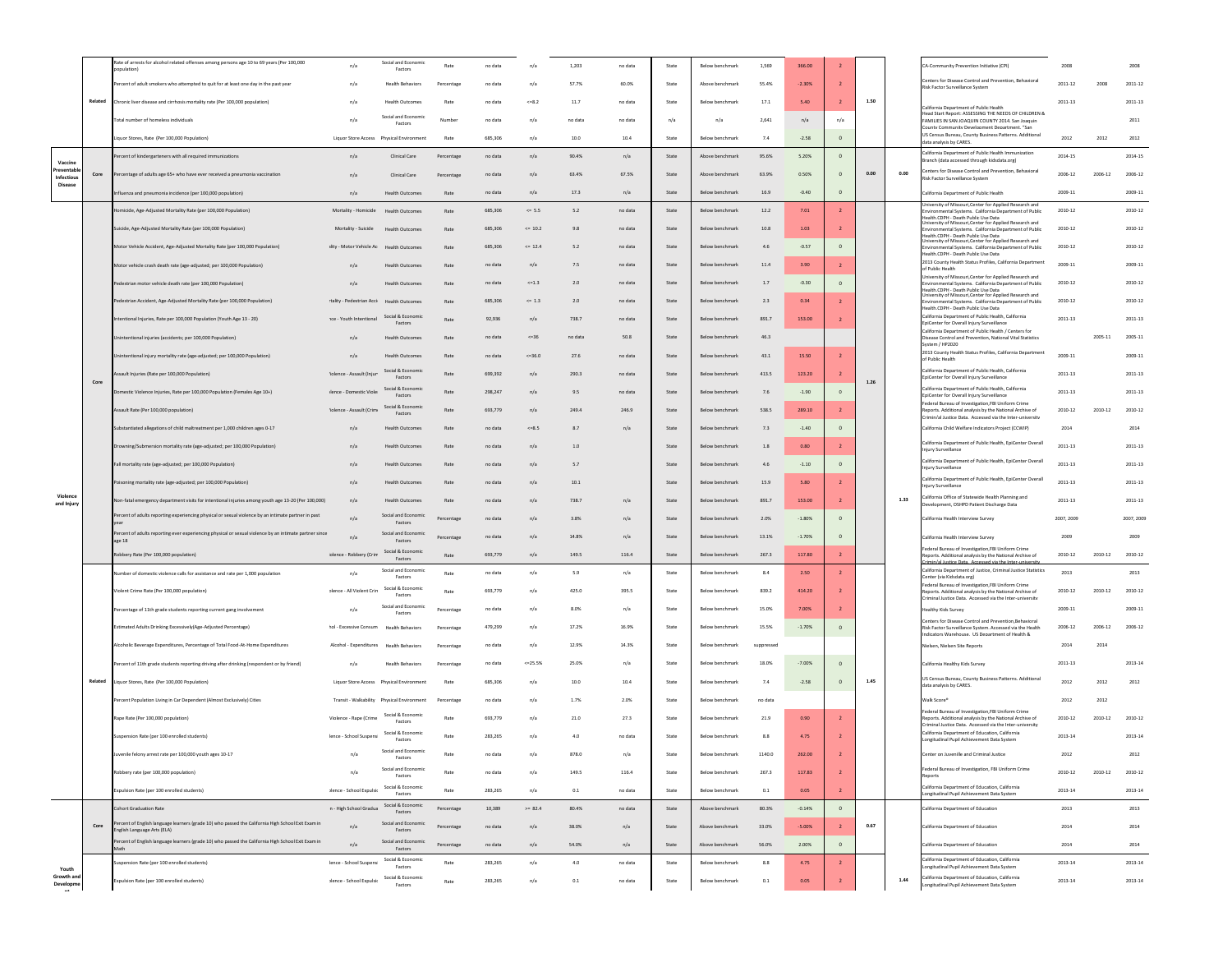|                               |         | ate of arrests for alcohol related offenses among persons age 10 to 69 years (Per 100,000<br>muktion                            | n/a                                     | Social and Econo<br>Factors                 | Rate       | no data | n/i        | 1,203   | no data | State                           | Below benchmarl | 1,569      | 366.00   |                |      |      | A-Community Prevention Initiative (CPI)                                                                                                                                | 2008        |             | 2008        |
|-------------------------------|---------|---------------------------------------------------------------------------------------------------------------------------------|-----------------------------------------|---------------------------------------------|------------|---------|------------|---------|---------|---------------------------------|-----------------|------------|----------|----------------|------|------|------------------------------------------------------------------------------------------------------------------------------------------------------------------------|-------------|-------------|-------------|
|                               |         | ercent of adult smokers who attempted to quit for at least one day in the past year                                             | n/a                                     | <b>Health Behaviors</b>                     | Percentage | no data | n/s        | 57.7%   | 60.0%   | State                           | Above benchmark | 55.4%      | $-2.30%$ |                |      |      | Centers for Disease Control and Prevention, Behavioral<br>Risk Factor Surveillance System                                                                              | $2011 - 12$ | 2008        | 2011-12     |
|                               | Related | hronic liver disease and cirrhosis mortality rate (Per 100,000 population)                                                      | n/a                                     | <b>Health Outcome</b>                       | Rate       | no data | << 8.2     | 11.7    | no data | State                           | Below benchmark | 17.1       | 5.40     |                | 1.50 |      | California Department of Public Health                                                                                                                                 | 2011-13     |             | 2011-13     |
|                               |         | Total number of homeless individuals                                                                                            | n/a                                     | Social and Economi<br>Factors               | Number     | no data | n/a        | no data | no data | n/a                             | n/a             | 2,641      | n/a      | n/a            |      |      | Head Start Report: ASSESSING THE NEEDS OF CHILDREN &<br>FAMILIES IN SAN JOAQUIN COUNTY 2014, San Joaquin                                                               |             |             | 2011        |
|                               |         | Liquor Stores, Rate (Per 100,000 Population)                                                                                    |                                         |                                             | Rate       | 685,306 | n/a        | 10.0    | 10.4    | State                           | Below benchmarl | 7.4        | $-2.58$  | $\,$ 0         |      |      | County Community Development Department. "San<br>US Census Bureau, County Business Patterns. Additional<br>ata analysis by CARES                                       | 2012        | 2012        | 2012        |
|                               |         | ercent of kindergarteners with all required immunizations                                                                       | n/a                                     | Clinical Care                               | Percentage | no data | n/a        | 90.4%   | n/a     | State                           | Above benchmar  | 95.6%      | 5.20%    | $\circ$        |      |      | California Denartment of Public Health Immunization<br>Branch (data accessed through kidsdata.org)                                                                     | 2014-15     |             | 2014-15     |
| Vaccine<br>entab<br>Infectiou | Core    | Percentage of adults age 65+ who have ever received a pneumonia vaccination                                                     | n/a                                     | Clinical Care                               | Percentage | no data | n/a        | 63.4%   | 67.5%   | State                           | Above benchmark | 63.9%      | 0.50%    |                | 0.00 | 0.00 | Centers for Disease Control and Prevention, Behavioral                                                                                                                 | 2006-12     | $2006 - 12$ | 2006-12     |
| Disease                       |         | Influenza and pneumonia incidence (per 100,000 population)                                                                      | n/a                                     | <b>Health Outcomes</b>                      | Rate       | no data | n/a        | 17.3    | n/a     | State                           | Below benchmark | 16.9       | $-0.40$  | $\circ$        |      |      | Risk Factor Surveillance System<br>California Department of Public Health                                                                                              | 2009-11     |             | 2009-11     |
|                               |         | omicide, Age-Adjusted Mortality Rate (per 100,000 Population)                                                                   | Mortality - Homicide                    | <b>Health Outcomes</b>                      | Rate       | 685,306 | $\leq$ 5.5 | 5.2     | no data | State                           | Below benchmarl | 12.2       | 7.01     | $\overline{2}$ |      |      | Jniversity of Missouri Center for Applied Research and<br>wironmental Systems. California Department of Public                                                         | 2010-12     |             | 2010-12     |
|                               |         | uicide, Age-Adjusted Mortality Rate (per 100,000 Population)                                                                    | Mortality - Suicide                     | <b>Health Outcomes</b>                      | Rate       | 685,306 | $= 10.2$   | 9.8     | no data | State                           | Below benchmark | 10.8       | 1.03     |                |      |      | alth CDPH - Death Public Use Data<br>niversity of Missouri, Center for Applied Research and<br>vironmental Systems. California Department of Public                    | 2010-12     |             | 2010-12     |
|                               |         | Motor Vehicle Accident, Age-Adjusted Mortality Rate (per 100,000 Population)                                                    | Ility - Motor Vehicle Ac                | <b>Health Outcomes</b>                      | Rati       | 685,306 | $<= 12.4$  | 5.2     | no data | State                           | Below benchmark | 4.6        | $-0.57$  | $\circ$        |      |      | .<br>Palth CDPH - Death Public Lise Data<br>niversity of Missouri,Center for Applied Research and<br>wironmental Systems. California Department of Public              | 2010-12     |             | 2010-12     |
|                               |         |                                                                                                                                 | n/a                                     | <b>Health Outcomes</b>                      | Rate       | no data | n/a        | 7.5     | no data | State                           | Below benchmark | 11.4       | 3.90     |                |      |      | ealth CDPH - Death Public Lise Data<br>2013 County Health Status Profiles, California Department                                                                       | 2009-11     |             | 2009-11     |
|                               |         | Motor vehicle crash death rate (age-adjusted; per 100,000 Population)                                                           |                                         |                                             |            |         | $<=1.3$    | 2.0     |         |                                 |                 | $1.7$      | $-0.30$  |                |      |      | of Public Health<br>Iniversity of Missouri Center for Applied Research and                                                                                             | 2010-12     |             | 2010-12     |
|                               |         | Pedestrian motor vehicle death rate (per 100,000 Population)                                                                    | n/a                                     | <b>Health Outcomes</b>                      | Rate       | no data |            |         | no data | State                           | Below benchmarl |            |          |                |      |      | wironmental Systems. California Department of Public<br>alth CDPH - Death Public Lise Data<br>niversity of Missouri, Center for Applied Research and                   |             |             |             |
|                               |         | edestrian Accident, Age-Adjusted Mortality Rate (per 100,000 Population)                                                        | tality - Pedestrian Acci                | <b>Health Outcomes</b><br>Social & Economic |            | 685,306 | $\leq 1.3$ | 2.0     | no data | State                           | Below benchmark | 2.3        | 0.34     |                |      |      | ironmental Systems. California Department of Public<br>alth CDPH - Death Public Use Data<br>California Department of Public Health, California                         | 2010-12     |             | 2010-12     |
|                               |         | tentional Injuries, Rate per 100,000 Population (Youth Age 13 - 20)                                                             | <b>1ce - Youth Intentional</b>          | Factors                                     | Rate       | 92.936  | n/a        | 738.7   | no data | State                           | Below benchmark | 891.7      | 153.00   |                |      |      | EpiCenter for Overall Injury Surveillance<br>California Department of Public Health / Centers fo                                                                       | 2011-13     |             | 2011-13     |
|                               |         | nintentional injuries (accidents; per 100,000 Population)                                                                       | n/a                                     | <b>Health Outcomes</b>                      | Rate       | no data | $<=36$     | no data | 50.8    | State                           | Below benchmark | 46.3       |          |                |      |      | Disease Control and Prevention, National Vital Statistics<br>wstem / HP2020<br>2013 County Health Status Profiles, California Department                               |             | 2005-11     | 2005-11     |
|                               |         | intentional injury mortality rate (age-adjusted; per 100,000 Population)                                                        | n/a                                     | <b>Health Outcomes</b>                      | Rate       | no data | $<=36.0$   | 27.6    | no data | State                           | Below benchmark | 43.1       | 15.50    |                |      |      | of Public Health                                                                                                                                                       | 2009-11     |             | 2009-11     |
|                               | Core    | ault Injuries (Rate per 100.000 Population)                                                                                     | iolence - Assault (Injur                | Social & Economic<br>Factors                | Rate       | 699,392 | n/a        | 290.3   | no data | State                           | Below benchmarl | 413.5      | 123.20   |                | 1.26 |      | California Department of Public Health, California<br>EpiCenter for Overall Injury Surveillance                                                                        | 2011-13     |             | 2011-13     |
|                               |         | nestic Violence Injuries, Rate per 100,000 Population (Females Age 10+)                                                         | ilence - Domestic Viole                 | Social & Economic<br>Factors                | Rate       | 298,247 | n/a        | 9.5     | no data | State                           | Below benchmark | 7.6        | $-1.90$  | $\circ$        |      |      | California Department of Public Health, California<br>EpiCenter for Overall Injury Surveillance<br>Federal Bureau of Investigation, FBI Uniform Crime                  | $2011 - 13$ |             | 2011-13     |
|                               |         | Assault Rate (Per 100,000 population)                                                                                           | Solence - Assault (Crim-                | Social & Economic<br>Factors                | Rate       | 693,779 | n/a        | 249.4   | 246.9   | State                           | Below benchmark | 538.5      | 289.10   | $\overline{2}$ |      |      | teports. Additional analysis by the National Archive of<br>Crimin/al lustice Data Accessed via the Inter-university                                                    | 2010-12     | 2010-12     | 2010-12     |
|                               |         | ubstantiated allegations of child maltreatment per 1,000 children ages 0-17                                                     | n/a                                     | <b>Health Outcomes</b>                      | Rate       | no data | $<=8.5$    | 8.7     | n/a     | State                           | Below benchmark | 7.3        | $-1.40$  | $\mathbf{0}$   |      |      | California Child Welfare Indicators Project (CCWIP)                                                                                                                    | 2014        |             | 2014        |
|                               |         | Orowning/Submersion mortality rate (age-adjusted; per 100,000 Population)                                                       | n/a                                     | <b>Health Outcomes</b>                      | Rate       | no data | n/s        | $1.0\,$ |         | State                           | Below benchmark | $1.8\,$    | 0.80     |                |      |      | California Department of Public Health, EpiCenter Overall<br>Injury Surveillance                                                                                       | 2011-13     |             | 2011-13     |
|                               |         | Fall mortality rate (age-adjusted; per 100,000 Population)                                                                      | n/a                                     | <b>Health Outcomes</b>                      | Rate       | no data | n/s        | 5.7     |         | State                           | Below benchmark | 4.6        | $-1.10$  | $\Omega$       |      |      | California Department of Public Health, EpiCenter Overall<br>Injury Surveillance                                                                                       | $2011 - 13$ |             | $2011 - 13$ |
|                               |         | pisoning mortality rate (age-adjusted; per 100,000 Population)                                                                  | n/a                                     | <b>Health Outcomes</b>                      | Rate       | no data | n/a        | 10.1    |         | State                           | Below benchmark | 15.9       | 5.80     |                |      |      | California Department of Public Health, EpiCenter Overall<br>njury Surveillance                                                                                        | 2011-13     |             | 2011-13     |
| Violence<br>and Injury        |         | Non-fatal emergency department visits for intentional injuries among youth age 13-20 (Per 100,000)                              | n/a                                     | <b>Health Outcomes</b>                      | Rate       | no data | n/a        | 738.7   | n/a     | State                           | Below benchmark | 891.7      | 153.00   | $\overline{2}$ |      | 1.33 | California Office of Statewide Health Planning and<br>Jevelopment, OSHPD Patient Discharge Data                                                                        | $2011 - 13$ |             | 2011-13     |
|                               |         | ercent of adults reporting experiencing physical or sexual violence by an intimate partner in past                              | n/a                                     | Social and Economi<br>Factors               | Percentage | no data | n/s        | 3.8%    | n/a     | State                           | Below benchmarl | 2.0%       | $-1.80%$ |                |      |      | California Health Interview Survey                                                                                                                                     | 2007, 2009  |             | 2007, 2009  |
|                               |         | ercent of adults reporting ever experiencing physical or sexual violence by an intimate partner since<br>age 18                 | n/a                                     | Social and Economic<br>Factors              | Percentage | no data | n/s        | 14.8%   | n/a     | State                           | Below benchmark | 13.1%      | $-1.70%$ |                |      |      | California Health Interview Survey                                                                                                                                     | 2009        |             | 2009        |
|                               |         | Robbery Rate (Per 100,000 population)                                                                                           | olence - Robbery (Crim                  | Social & Economic<br>Factors                | Rate       | 693,779 | n/a        | 149.5   | 116.4   | State                           | Below benchmark | 267.3      | 117.80   |                |      |      | Federal Bureau of Investigation, FBI Uniform Crime<br>teports. Additional analysis by the National Archive of<br>sin/al Justice Data Accessed via the Inte             | 2010-12     | 2010-12     | 2010-12     |
|                               |         | Number of domestic violence calls for assistance and rate per 1,000 population                                                  | n/a                                     | Social and Economi<br>Factors               | Rate       | no data | n/a        | 5.9     | n/a     | State                           | Below benchmark | 8.4        | 2.50     |                |      |      | California Department of Justice, Criminal Justice Statistics<br>Center (via Kidsdata.org)                                                                             | 2013        |             | 2013        |
|                               |         | Violent Crime Rate (Per 100,000 population)                                                                                     | blence - All Violent Crin               | Social & Economic<br>Factors                | Rate       | 693,779 | n/s        | 425.0   | 395.5   | State                           | Below benchmarl | 839.2      | 414.20   |                |      |      | Federal Bureau of Investigation.FBI Uniform Crime<br>Reports. Additional analysis by the National Archive of<br>riminal lustice Data Accessed via the Inter-university | 2010-12     | 2010-12     | 2010-12     |
|                               |         | Percentage of 11th grade students reporting current gang involvement                                                            | n/a                                     | Social and Economic<br>Factors              | Percentage | no data | n/s        | 8.0%    | n/a     | State                           | Below benchmark | 15.0%      | 7.00%    |                |      |      | lealthy Kids Survey                                                                                                                                                    | 2009-11     |             | 2009-11     |
|                               |         | Estimated Adults Drinking Excessively(Age-Adjusted Percentage)                                                                  | hol - Excessive Consum                  | <b>Health Behaviors</b>                     | Percentage | 479.299 | n/a        | 17.2%   | 16.9%   | State                           | Below benchmark | 15.5%      | $-1.70%$ | $\mathbf{0}$   |      |      | Centers for Disease Control and Prevention, Behavioral<br>Risk Factor Surveillance System. Accessed via the Health<br>ndicators Warehouse LIS Denartment of Health &   | 2006-12     | 2006-12     | 2006-12     |
|                               |         | Alcoholic Beverage Expenditures, Percentage of Total Food-At-Home Expenditures                                                  | Alcohol - Expenditures Health Behaviors |                                             | Percentage | no data | n/a        | 12.9%   | 14.3%   | State                           | Below benchmark | suppressed |          |                |      |      | Nielsen, Nielsen Site Reports                                                                                                                                          | 2014        | 2014        |             |
|                               |         | Percent of 11th grade students reporting driving after drinking (respondent or by friend)                                       | n/a                                     | <b>Health Behaviors</b>                     | Percentage | no data | $<=25.59$  | 25.0%   | n/a     | State                           | Below benchmarl | 18.0%      | $-7.00%$ |                |      |      | California Healthy Kids Survey                                                                                                                                         | $2011 - 13$ |             | 2013-14     |
|                               | Related | iquor Stores, Rate (Per 100,000 Population)                                                                                     |                                         |                                             | Rate       | 685,306 | n/s        | 10.0    | 10.4    | State                           | Below benchmark | 7.4        | $-2.58$  | $\,$ 0 $\,$    | 1.45 |      | US Census Bureau, County Business Patterns, Additional<br>data analysis by CARES.                                                                                      | 2012        | 2012        | 2012        |
|                               |         | ercent Population Living in Car Dependent (Almost Exclusively) Cities                                                           |                                         |                                             | Percentage | no data | n/a        | 1.7%    | 2.0%    | State                           | Below benchmark | no data    |          |                |      |      | Walk Score*                                                                                                                                                            | 2012        | 2012        |             |
|                               |         | Rape Rate (Per 100,000 population)                                                                                              | Violence - Rape (Crime                  | Social & Economic                           | Rate       | 693,779 | n/a        | 21.0    | 27.3    | State                           | Below benchmark | 21.9       | 0.90     | $\overline{2}$ |      |      | Federal Bureau of Investigation, FBI Uniform Crime<br>eports. Additional analysis by the National Archive of                                                           | 2010-12     | 2010-12     | 2010-12     |
|                               |         | Suspension Rate (per 100 enrolled students)                                                                                     | lence - School Suspens                  | Factors<br>Social & Economi                 | Rate       | 283,265 | n/a        | 4.0     | no data | State                           | Below benchmark | 8.8        | 4.75     |                |      |      | riminal lustice Data Accessed via the Inter-university<br>California Department of Education, California                                                               | 2013-14     |             | 2013-14     |
|                               |         | wenile felony arrest rate per 100,000 youth ages 10-17                                                                          | n/a                                     | Factors<br>Social and Economic              | Rate       | no data | n/a        | 878.0   | n/a     | State                           | Below benchmark | 1140.0     | 262.00   |                |      |      | Longitudinal Pupil Achievement Data System<br>Center on Juvenille and Criminal Justice                                                                                 | 2012        |             | 2012        |
|                               |         | Robbery rate (per 100,000 population)                                                                                           | n/a                                     | Factors<br>Social and Economic              | Rate       | no data | n/a        | 149.5   | 116.4   | State                           | Below benchmark | 267.3      | 117.83   |                |      |      | Federal Bureau of Investigation, FBI Uniform Crime                                                                                                                     | 2010-12     | 2010-12     | 2010-12     |
|                               |         |                                                                                                                                 | - Jience - School Expulsio              | Factors<br>Social & Economic                | Rate       | 283,265 |            | 0.1     | no data | State                           | Below benchmark | 0.1        | 0.05     | $\overline{2}$ |      |      | eports<br>California Department of Education, California                                                                                                               | 2013-14     |             | 2013-14     |
|                               |         | Expulsion Rate (per 100 enrolled students)                                                                                      |                                         | Factors<br>Social & Economic                |            |         | n/a        |         |         |                                 |                 |            |          |                |      |      | ngitudinal Pupil Achievement Data System                                                                                                                               |             |             |             |
|                               |         | ohort Graduation Rate<br>rcent of English language learners (grade 10) who passed the California High School Exit Exam in       | n - High School Gradua                  | Factors<br>Social and Economic              | Percentage | 10,389  | $>= 82.4$  | 80.4%   | no data | State                           | Above benchmark | 80.3%      | $-0.14%$ | $\circ$        |      |      | California Department of Education                                                                                                                                     | 2013        |             | 2013        |
|                               | Core    | nglish Language Arts (ELA)<br>ercent of English language learners (grade 10) who passed the California High School Exit Exam in | n/a                                     | Factors<br>Social and Economic              | Percentage | no data | n/a        | 38.0%   | n/a     | State                           | Above benchmark | 33.0%      | $-5.00%$ | $\overline{2}$ | 0.67 |      | California Department of Education                                                                                                                                     | 2014        |             | 2014        |
|                               |         |                                                                                                                                 | n/a                                     | Factors<br>Social & Economic                | Percentage | no data | n/a        | 54.0%   | n/a     | $\operatorname{\mathsf{State}}$ | Above benchmark | 56.0%      | 2.00%    | $\mathbb O$    |      |      | California Department of Education<br>California Department of Education, California                                                                                   | 2014        |             | 2014        |
| Youth<br>Growth and           |         | uspension Rate (per 100 enrolled students)                                                                                      | lence - School Suspens                  | Factors                                     | Rate       | 283,265 | n/a        | 4.0     | no data | State                           | Below benchmark | 8.8        | 4.75     | $\overline{2}$ |      |      | ongitudinal Pupil Achievement Data System                                                                                                                              | 2013-14     |             | 2013-14     |
| Developme                     |         | Expulsion Rate (per 100 enrolled students)                                                                                      | Ience - School Expulsi                  | Social & Economic<br>Factors                | Rate       | 283,265 | n/a        | 0.1     | no data | State                           | Below benchmark | 0.1        | 0.05     |                |      | 1.44 | California Department of Education, California<br>ongitudinal Pupil Achievement Data System                                                                            | 2013-14     |             | 2013-14     |